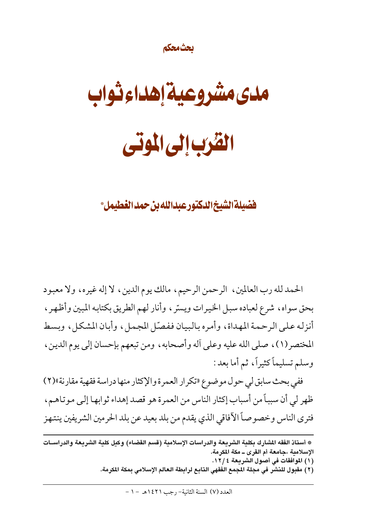#### يحثمحكم

مدى مشروعية إهداء ثواب القرب إلى الموتى

فضيلة الشيخ الدكتور عبدالله بن حمد الغطيمل\*

الحمد لله رب العالمين ، الرحمن الرحيم ، مالك يوم الدين ، لا إله غيره ، ولا معبود بحق سواه، شرع لعباده سبل الخيرات ويسّر ، وأنار لهم الطريق بكتابه المبين وأظهر ، أنزله على الرحمة المهداة، وأمره بالبيان ففصّل المجمل، وأبان المشكل، وبسط المختصر(١)، صلى الله عليه وعلى أله وأصحابه، ومن تبعهم بإحسان إلى يوم الدين، وسلم تسليماً كثيراً، ثم أما بعد:

ففي بحث سابق لي حول موضوع «تكرار العمرة والإكثار منها دراسة فقهية مقارنة»(٢) ظهر لي أن سبباً من أسباب إكثار الناس من العمرة هو قصد إهداء ثوابها إلى موتاهم، فترى الناس وخصوصاً الأفاقي الذي يقدم من بلد بعيد عن بلد الحرمين الشريفين ينتهز

(٢) مقبول للنشر في مجلة المجمع الفقهي التابع لرابطة العالم الإسلامي بمكة المكرمة.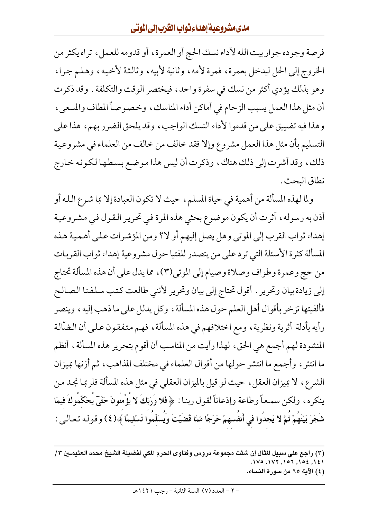فرصة وجوده جوار بيت الله لأداء نسك الحج أو العمرة، أو قدومه للعمل، تراه يكثر من الخروج إلى الحل ليدخل بعمرة، فمرة لأمه، وثانية لأبيه، وثالثة لأخيه، وهلم جرا، وهو بذلك يؤدي أكثر من نسك في سفرة واحد، فيختصر الوقت والتكلفة . وقد ذكرت أن مثل هذا العمل يسبب الزحام في أماكن أداء المناسك، وخصوصاً المطاف والمسعى، وهذا فيه تضييق على من قدموا لأداء النسك الواجب، وقد يلحق الضرر بهم، هذا على التسليم بأن مثل هذا العمل مشروع وإلا فقد خالف من خالف من العلماء في مشروعية ذلك، وقد أشرت إلى ذلك هناك، وذكرت أن ليس هذا موضع بسطها لكونه خارج نطاق البحث .

ولما لهذه المسألة من أهمية في حياة المسلم، حيث لا تكون العبادة إلا بما شرع الله أو أذن به رسوله، أثرت أن يكون موضوع بحثي هذه المرة في تحرير القول في مشروعية إهداء ثواب القرب إلى الموتى وهل يصل إليهم أو لا؟ ومن المؤشرات على أهمية هذه المسألة كثرة الأسئلة التي ترد على من يتصدر للفتيا حول مشروعية إهداء ثواب القربات من حج وعمرة وطواف وصلاة وصيام إلى الموتى(٣) ، مما يدل على أن هذه المسألة تحتاج إلى زيادة بيان وتحرير . أقول تحتاج إلى بيان وتحرير لأننى طالعت كتب سلفنا الصالح فألفيتها تزخر بأقوال أهل العلم حول هذه المسألة، وكل يدلل على ما ذهب إليه، وينصر رأيه بأدلة أثرية ونظرية ، ومع اختلافهم في هذه المسألة ، فهم متفقون علىي أن الضَّالة المنشودة لهم أجمع هي الحق، لهذا رأيت من المناسب أن أقوم بتحرير هذه المسألة، أنظم ما انتثر ، وأجمع ما انتشر حولها من أقوال العلماء في مختلف المذاهب، ثم أزنها بميزان الشرع، لا بميزان العقل، حيث لو قيل بالميزان العقلبي في مثل هذه المسألة فلربما نجد من ينكره، ولكن سمعاً وطاعة وإذعاناً لقول ربنا : ﴿ فَلا وَرَبِّكَ لا يُؤْمِنُونَ حَتَّىٓ يُحَكَّمُوكَ فيمَا شَجَرَ بَيْنَهُمْ ثُمَّ لا يَجدُوا في أَنفسهمْ حَرَجًا مّمَّا قَضَيْتَ وَيَسَلّمُوا تَسْليمًا ﴾(٤) وقوله تعالىي :

(٣) راجع على سبيل المثال إن شئت مجموعة دروس وفتاوى الحرم المعي لفضيلة الشيخ محمد العثيمــين ٣/

- ۰۱۷۱ , ۱۵۶ , ۱۰۲۲ , ۱۷۵ , ۱۷۰
- (٤) الآية ٦٥ من سورة النساء.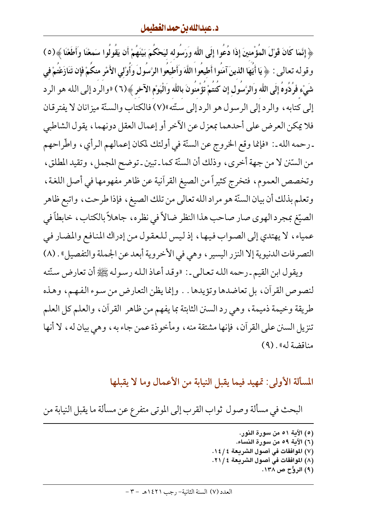﴿ إِنَّمَا كَانَ قَوْلَ الْمُؤْمِنِينَ إِذَا دُعُوا إِلَى اللَّه وَرَسُوله ليَحْكُمَ بَيْنَهُمْ أَن يَقُولُوا سَمعْنَا وَأَطَعْنَا ﴾(٥) وقوله تعالى : ﴿ يَا أَيُّهَا الذينَ آمَنُوا أَطيعُوا اللَّهَ وَأَطيعُوا الرَّسُولَ وَأَوْلى الأَمْرِ منكُمْ فَإن تَنَازَعْتُمْ في شَيْء فَرُدُّوهُ إِلَى اللَّه وَالرَّسَول إِن كَنتَمْ تَؤْمنُونَ باللَّه وَالْيَوْم الآخر ﴾(٦) «والرد إلى الله هو الرد إلى كتابه، والرد إلى الرسول هو الرد إلى سنّته»(٧) فالكتاب والسنّة ميزانان لا يفتر قان فلا يمكن العرض على أحدهما بمعزل عن الآخر أو إعمال العقل دونهما، يقول الشاطبي ـ رحمه الله ـ : «فإنما وقع الخروج عن السنَّة في أولئك لمكان إعمالهم الرأي، واطَّراحهم من السّتن لا من جهة أخرى، وذلك أن السنّة كما ـ تبين ـ توضح المجمل، وتقيد المطلق، وتخصص العموم، فتخرج كثيراً من الصيغ القرآنية عن ظاهر مفهومها في أصل اللغة، وتعلم بذلك أن بيان السنَّة هو مراد الله تعالى من تلك الصيغ ، فإذا طرحت ، واتبع ظاهر الصيّغ بمجرد الهوى صار صاحب هذا النظر ضالاً في نظره، جاهلاً بالكتاب، خابطاً في عمياء، لا يهتدي إلى الصواب فيها، إذ ليس للعقول من إدراك المنافع والمضار في التصرفات الدنيوية إلا النزر اليسير ، وهي في الأخروية أبعد عن الجملة والتفصيل» . (٨)

ويقول ابن القيم ـ رحمه الله تعالى ـ : «وقد أعاذ الله رسوله ﷺ أن تعارض سنّته لنصوص القرآن، بل تعاضدها وتؤيدها . . وإنما يظن التعارض من سوء الفهم، وهذه طريقة وخيمة ذميمة، وهي رد السنن الثابتة بما يفهم من ظاهر القرآن، والعلم كل العلم تنزيل السنن على القرآن ، فإنها مشتقة منه ، ومأخوذة عمن جاء به ، وهي بيان له ، لا أنها مناقضة له» . (٩)

المسألة الأولى: تمهيد فيما يقبل النيابة من الأعمال وما لا يقبلها

البحث في مسألة وصول ثواب القرب إلى الموتى متفرع عن مسألة ما يقبل النيابة من

- (٥) الآية ٥١ من سورة النور. (٦) الآية ٥٩ من سورة النساء. (٧) الموافقات في أصول الشريعة ٤ / ١٤. (٨) الموافقات في أصول الشريعة ٢١/٤.
	- (۹) الروُّح ص ۱۳۸.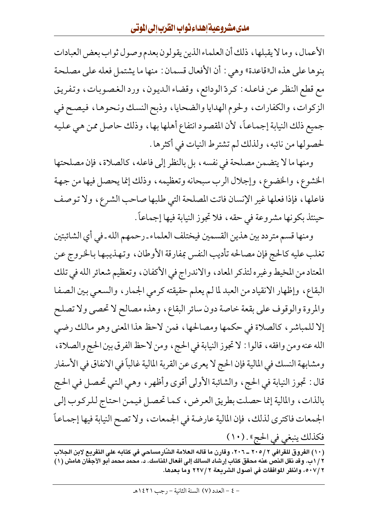الأعمال، وما لا يقبلها، ذلك أن العلماء الذين يقولون بعدم وصول ثواب بعض العبادات بنوها على هذه الـ"قاعدة" وهي : أن الأفعال قسمان : منها ما يشتمل فعله على مصلحة مع قطع النظر عن فاعله : كردّ الودائع ، وقضاء الديون ، ورد الغصوبات ، وتفريق الزكوات، والكفارات، ولحوم الهدايا والضحايا، وذبح النسك ونحوها، فيصح في جميع ذلك النيابة إجماعاً، لأن المقصود انتفاع أهلها بها، وذلك حاصل ممن هي عليه لحصولها من نائبه، ولذلك لم تشترط النيات في أكثرها .

ومنها ما لا يتضمن مصلحة في نفسه ، بل بالنظر إلى فاعله ، كالصلاة ، فإن مصلحتها الخشوع، والخضوع، وإجلال الرب سبحانه وتعظيمه، وذلك إنما يحصل فيها من جهة فاعلها، فإذا فعلها غير الإنسان فاتت المصلحة التي طلبها صاحب الشرع، ولا توصف حينئذ بكونها مشروعة في حقه ، فلا تجوز النيابة فيها إجماعاً .

ومنها قسم متردد بين هذين القسمين فيختلف العلماء ـ رحمهم الله ـ في أي الشائبتين تغلب عليه كالحج فإن مصالحه تأديب النفس بمفارقة الأوطان، وتهذيبها بالخروج عن المعتاد من المخيط وغيره لتذكر المعاد، والاندراج في الأكفان، وتعظيم شعائر الله في تلك البقاع، وإظهار الانقياد من العبد لما لم يعلم حقيقته كرمي الجمار، والسعي بين الصفا والمروة والوقوف على بقعة خاصة دون سائر البقاع، وهذه مصالح لا تحصى ولا تصلح إلا للمباشر ، كالصلاة في حكمها ومصالحها ، فمن لاحظ هذا المعنى وهو مالك رضي الله عنه ومن وافقه ، قالوا : لا تجوز النيابة في الحج ، ومن لاحظ الفرق بين الحج والصلاة ، ومشابهة النسك في المالية فإن الحج لا يعري عن القربة المالية غالباً في الانفاق في الأسفار قال : تجوز النيابة في الحج، والشائبة الأولى أقوى وأظهر ، وهي التي تحصل في الحج بالذات، والمالية إنما حصلت بطريق العرض، كما تحصل فيمن احتاج للركوب إلى الجمعات فاكترى لذلك ، فإن المالية عارضة في الجمعات ، ولا تصح النيابة فيها إجماعاً فكذلك ينبغي في الحج» . (١٠)

(١٠) الفروق للقرافي ٢ /٢٠٥ \_ ٢٠٦، وقارن ما قاله العلامة الشّارمساحي في كتابه على التفريع لابن الجلاب ٢ / ١ب. وقد نقل النص عنه محقق كتاب إرشاد السالك إلى أفعال المناسك. د. محمد محمد أبو الأجفان هامش (١) ٥٠٧/٢، وانظر الموافقات في أصول الشريعة ٢ /٢٢٧ وما بعدها.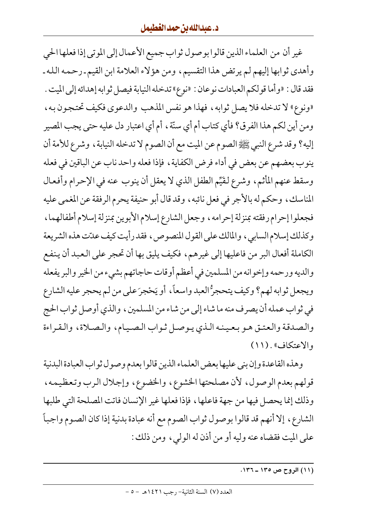غير أن من العلماء الذين قالوا بوصول ثواب جميع الأعمال إلى الموتى إذا فعلها الحي وأهدى ثوابها إليهم لم يرتض هذا التقسيم، ومن هؤلاء العلامة ابن القيم ـ رحمه الله ـ فقد قال : «وأما قولكم العبادات نوعان : «نوع» تدخله النيابة فيصل ثوابه إهدائه إلى الميت . «ونوع» لا تدخله فلا يصل ثوابه ، فهذا هو نفس المذهب والدعوى فكيف تحتجون به ، ومن أين لكم هذا الفرق؟ فأي كتاب أم أي سنّة ، أم أي اعتبار دل عليه حتى يجب المصير إليه؟ وقد شرع النبي ﷺ الصوم عن الميت مع أن الصوم لا تدخله النيابة ، وشرع للأمة أن ينوب بعضهم عن بعض في أداء فرض الكفاية ، فإذا فعله واحد ناب عن الباقين في فعله وسقط عنهم المأثم، وشرع لقيِّم الطفل الذي لا يعقل أن ينوب عنه في الإحرام وأفعال المناسك، وحكم له بالأجر في فعل نائبه، وقد قال أبو حنيفة يحرم الرفقة عن المغمى عليه فجعلوا إحرام رفقته بمنزلة إحرامه ، وجعل الشارع إسلام الأبوين بمنزلة إسلام أطفالهما ، وكذلك إسلام السابي، والمالك على القول المنصوص، فقد رأيت كيف عدّت هذه الشريعة الكاملة أفعال البر من فاعليها إلى غيرهم، فكيف يليق بها أن تحجر على العبد أن ينفع والديه ورحمه وإخوانه من المسلمين في أعظم أوقات حاجاتهم بشيء من الخير والبر يفعله ويجعل ثوابه لهم؟ وكيف يتحجرُّ العبد واسعاً، أو يَحْجرَ على من لم يحجر عليه الشارع في ثواب عمله أن يصرف منه ما شاء إلى من شاء من المسلمين ، والذي أوصل ثواب الحج والصدقة والعتق هو بعينه الذي يوصل ثواب الصيام، والصلاة، والقراءة والاعتكاف» . (١١)

وهذه القاعدة وإن بنى عليها بعض العلماء الذين قالوا بعدم وصول ثواب العبادة البدنية قولهم بعدم الوصول، لأن مصلحتها الخشوع، والخضوع، وإجلال الرب وتعظيمه، وذلك إنما يحصل فيها من جهة فاعلها ، فإذا فعلها غير الإنسان فاتت المصلحة التي طلبها الشارع، إلا أنهم قد قالوا بوصول ثواب الصوم مع أنه عبادة بدنية إذا كان الصوم واجباً على الميت فقضاه عنه وليه أو من أذن له الوليي، ومن ذلك :

(١١) الروح ص ١٣٥ ـ ١٣٦.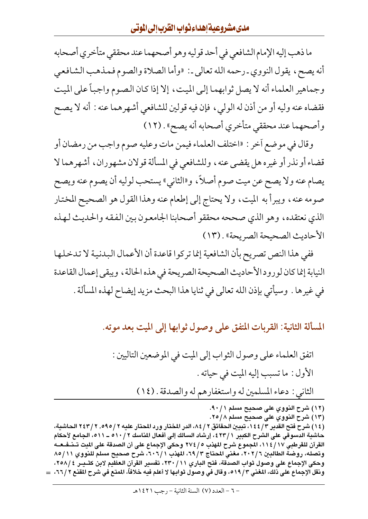ما ذهب إليه الإمام الشافعي في أحد قوليه وهو أصحهما عند محققي متأخري أصحابه أنه يصح، يقول النووي<sub>-</sub>رحمه الله تعالى-: «وأما الصلاة والصوم فمذهب الشافعي وجماهير العلماء أنه لا يصل ثوابهما إلىي الميت، إلا إذا كان الصوم واجباً على الميت فقضاه عنه وليه أو من أذن له الولي ، فإن فيه قولين للشافعي أشهرهما عنه : أنه لا يصح وأصحهما عند محققي متأخري أصحابه أنه يصح» . (١٢)

وقال في موضع أخر : «اختلف العلماء فيمن مات وعليه صوم واجب من رمضان أو قضاء أو نذر أو غيره هل يقضي عنه ، وللشافعي في المسألة قولان مشهوران ، أشهرهما لا يصام عنه ولا يصح عن ميت صوم أصلاً، و«الثاني» يستحب لوليه أن يصوم عنه ويصح صومه عنه، ويبرأ به الميت، ولا يحتاج إلى إطعام عنه وهذا القول هو الصحيح المختار الذي نعتقده، وهو الذي صححه محققو أصحابنا الجامعون بين الفقه والحديث لهذه الأحاديث الصحيحة الصريحة» . (١٣)

ففي هذا النص تصريح بأن الشافعية إنما تركوا قاعدة أن الأعمال البدنية لا تدخلها النيابة إنما كان لورود الأحاديث الصحيحة الصريحة في هذه الحالة ، ويبقى إعمال القاعدة في غيرها . وسيأتي بإذن الله تعالى في ثنايا هذا البحث مزيد إيضاح لهذه المسألة .

المسألة الثانية: القربات المتفق على وصول ثوابها إلى الميت بعد موته.

(١٢) شرح النووي على صحيح مسلم ٩٠/١. (١٣) شرح النووي على صحيح مسلم ٢٥/٨.

(١٤) شرح فتح القدير ٢/ ١٤٤، تبيين الحقائق ٢/ ٨٤، الدر المختار ورد المحتار عليه ٢/ ٢٥٩، ٢ / ٢٤٣ الحاشية، حاشية الدسوقي على الشرح الكبير ٢٣/١، إرشاد السالك إلى أفعال المناسك ٢ / ٥١٠ ــ ٥١١، الجامع لأحكام القرآن للقرطبي ١١٤/١٧، المجموع شرح المهذب ٢٧٤/٥ وحكي الإجماع على أن الصدقة على المت تـــنـفــعـــه وتصله، روضة الطالبين ٢/ ٢٠٢، مغنى المحتاج ٦٩/٣، المهذب ٦٠٦/١، شرح صحيح مسلم للنووي ٨٥/١١ وحكي الإجماع على وصول ثواب الصدقة، فتح الباري ٢٣٠/١١، تفسير القرآن العظيم لابن كثـيــر ٢٥٨/٤، ونقل الإجماع على ذلك، المغنى ٥١٩/٣، وقال في وصول ثوابها لا أعلم فيه خلافاً، المنع في شرح المقنع ٢٦/٢، ك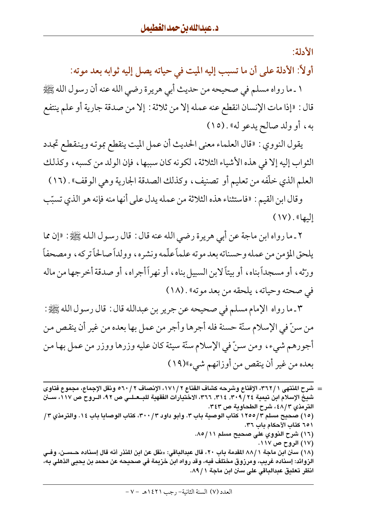الأدلة:

أولاً: الأدلة على أن ما تسبب إليه الميت في حياته يصل إليه ثوابه بعد موته:

١ ـ ما رواه مسلم في صحيحه من حديث أبي هريرة رضي الله عنه أن رسول الله ﷺ قال : «إذا مات الإنسان انقطع عنه عمله إلا من ثلاثة : إلا من صدقة جارية أو علم ينتفع به، أو ولد صالح يدعو له» . (١٥)

يقول النووي : «قال العلماء معنى الحديث أن عمل الميت ينقطع بموته وينقطع تجدد الثواب إليه إلا في هذه الأشياء الثلاثة، لكونه كان سببها، فإن الولد من كسبه، وكذلك العلم الذي خلَّفه من تعليم أو تصنيف، وكذلك الصدقة الجارية وهي الوقف» . (١٦)

وقال ابن القيم : «فاستثناء هذه الثلاثة من عمله يدل على أنها منه فإنه هو الذي تسبّب  $(1V)$ . (ما

٢ ـ ما رواه ابن ماجة عن أبي هريرة رضي الله عنه قال : قال رسول الله ﷺ : «إن مما يلحق المؤمن من عمله وحسناته بعد موته علماً علّمه ونشره، وولداً صالحاً تر كه ، ومصحفاً ورَّثه، أو مسجداً بناه، أو بيتاً لابن السبيل بناه، أو نهراً أجراه، أو صدقة أخرجها من ماله في صحته وحياته، يلحقه من بعد موته» . (١٨)

٣ ـ ما رواه الإمام مسلم في صحيحه عن جرير بن عبدالله قال : قال رسول الله ﷺ : من سنّ في الإسلام سنّة حسنة فله أجرها وأجر من عمل بها بعده من غير أن ينقص من أجورهم شيء، ومن سنَّ في الإسلام سنَّة سيئة كان عليه وزرها ووزر من عمل بها من بعده من غير أن ينقص من أوزانهم شيء»(١٩)

<sup>=</sup> شرح المنتهى ١ / ٣٦٢، الإقناع وشرحه كشاف القناع ٢ / ١٧١، الإنصاف ٢ / ٥٦٠ ونقل الإجماع، مجموع فتاوى شيخ الإسلام ابن تيمية ٣١٤, ٣١٤, ٣١٢, ٣٦٦، الاختيارات الفقهية للبــعـلــي ص ٩٢، الــروح ص ١١٧، ســـــن الترمذي ٤٨/٣، شرح الطحاوية ص ٣٤٣. (١٥) صحيح مسلم ٣/١٢٥٥ كتاب الوصية باب ٣. وأبو داود ٣٠٠/٣٠، كتاب الوصايا باب ١٤. والترمذي ٣/ ٦٥١ كتاب الأحكام باب ٣٦. (١٦) شرح النووي على صحيح مسلم ٨٥/١١. (١٧) الروح ص ١١٧. (١٨) سنن ابن ماجة ٨٨/١ المقدمة باب ٢٠، قال عبدالباقي: «نقل عن ابن المنذر أنه قال إسناده حــسـن، وفــي الزوائد: إسناده غريب، ومرزوق مختلف فيه، وقد رواه ابن خزيمة في صحيحه عن محمد بن يحيي الذهلي به، انظر تعليق عبدالباقي على سنن ابن ماجة ٨٩/١.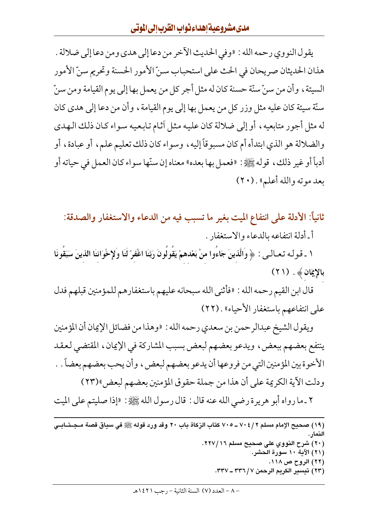يقول النووي رحمه الله : «وفي الحديث الآخر من دعا إلى هدي ومن دعا إلى ضلالة . هذان الحديثان صريحان في الحث على استحباب سنّ الأمور الحسنة وتحريم سنّ الأمور السيئة ، وأن من سنِّ سنَّة حسنة كان له مثل أجر كل من يعمل بها إلى يوم القيامة ومن سنِّ سنّة سيئة كان عليه مثل وزر كل من يعمل بها إلى يوم القيامة ، وأن من دعا إلى هدي كان له مثل أجور متابعيه ، أو إلى ضلالة كان عليه مثل آثام تابعيه سواء كان ذلك الهدى والضلالة هو الذي ابتدأه أم كان مسبو قاً إليه ، وسواء كان ذلك تعليم علم ، أو عبادة ، أو أدباً أو غير ذلك ، قوله ﷺ: «فعمل بها بعده» معناه إن سنّها سواء كان العمل في حياته أو بعد موته والله أعلم» . (٢٠)

ثانياً: الأدلة على انتفاع الميت بغير ما تسبب فيه من الدعاء والاستغفار والصدقة:

أ ـ أدلة انتفاعه بالدعاء والاستغفار .

١ ـ قـولـه تـعـالــى : ﴿ وَالَّذِينَ جَاءُوا منْ بَعْدهمْ يَقُولُونَ رَبَّنَا اغْفرْ لَنَا وَلإِخْوَاننَا الذينَ سَبَقُونَا بالإِيمَانَ ﴾ . (٢١)

قال ابن القيم رحمه الله : «فأثنى الله سبحانه عليهم باستغفارهم للمؤمنين قبلهم فدل على انتفاعهم باستغفار الأحياء» . (٢٢)

ويقول الشيخ عبدالرحمن بن سعدي رحمه الله : «وهذا من فضائل الإيمان أن المؤمنين ينتفع بعضهم ببعض، ويدعو بعضهم لبعض بسبب المشاركة في الإيمان، المقتضى لعقد الأخوة بين المؤمنين التي من فروعها أن يدعو بعضهم لبعض، و أن يحب بعضهم بعضاً . . ودلت الآية الكريمة على أن هذا من جملة حقوق المؤمنين بعضهم لبعض\1٣٣)

٢ ـ ما رواه أبو هريرة رضي الله عنه قال : قال رسول الله ﷺ: «إذا صليتم على الميت

(١٩) صحيح الإمام مسلم ٢ / ٤ ٧٠ ـ ٧٠٥ كتاب الزكاة باب ٢٠ وقد ورد قوله ﷺ في سياق قصة مـجـتــابــي النمار. (۲۰) شرح النووي على صحيح مسلم ٢٦٧/١٦. (٢١) الآية ١٠ سورة الحشر. (٢٢) الروح ص ١١٨. (٢٣) تيسير الكريم الرحمن ٢٣٦/٧- ٣٣٧.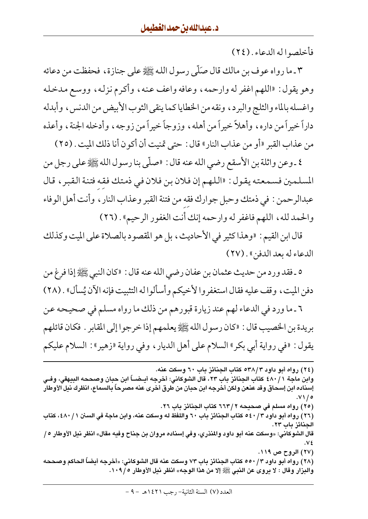فأخلصوا له الدعاء . (٢٤)

٣ ـ ما رواه عوف بن مالك قال صَلَّى رسول الله ﷺ على جنازة ، فحفظت من دعائه وهو يقول : «اللهم اغفر له وارحمه ، وعافه واعف عنه ، وأكرم نزله ، ووسع مدخله واغسله بالماء والثلج والبرد، ونقه من الخطايا كما ينقى الثوب الأبيض من الدنس، وأبدله داراً خيراً من داره، وأهلاً خيراً من أهله، وزوجاً خيراً من زوجه، وأدخله الجنة، وأعذه من عذاب القبر «أو من عذاب النار» قال : حتى تمنيت أن أكون أنا ذلك الميت . (٢٥)

٤ ـ وعن واثلة بن الأسقع رضي الله عنه قال : «صلَّى بنا رسول الله ﷺ على رجل من المسلمين فسمعته يقول: «اللهم إن فلان بن فلان في ذمتك فقه فتنة القبر ، قال عبدالرحمن : في ذمتك وحبل جوارك فقه من فتنة القبر وعذاب النار ، وأنت أهل الوفاء والحمد لله، اللهم فاغفر له وارحمه إنك أنت الغفور الرحيم» . (٢٦)

قال ابن القيم : «وهذا كثير في الأحاديث، بل هو المقصود بالصلاة على الميت وكذلك الدعاء له بعد الدفن » . (٢٧)

٥ ـ فقد ورد من حديث عثمان بن عفان رضي الله عنه قال : «كان النبي ﷺ إذا فرغ من دفن الميت ، وقف عليه فقال استغفروا لأخيكم وأسألوا له التثبيت فإنه الآن يُسأل» . (٢٨)

٦ ـ ما ورد في الدعاء لهم عند زيارة قبورهم من ذلك ما رواه مسلم في صحيحه عن بريدة بن الخصيب قال : «كان رسول الله ﷺ يعلمهم إذا خرجوا إلى المقابر . فكان قائلهم يقول : «في رواية أبي بكر» السلام على أهل الديار ، وفي رواية «زهير» : السلام عليكم

(٢٤) رواه أبو داود ٥٣٨/٣ كتاب الجنائز باب ٦٠ وسكت عنه. وابن ماجة ١ / ٤٨٠ كتاب الجنائز باب ٢٣، قال الشوكاني: أخرجه أيـضـــاً ابن حبان وصححه البيهقي، وفــي إسناده ابن إسحاق وقد عنعن ولكن أخرجه ابن حبان من طرق أخرى عنه مصرحاً بالسماع، انظرك نيل الأوطار ه / ۷۱. (٢٥) رواه مسلم في صحيحه ٢ /٦٦٣ كتاب الجنائز باب ٢٦. (٢٦) رواه أبو داود ٢ / ٥٤٠ كتاب الجنائز باب ٦٠ واللفظ له وسكت عنه، وابن ماجة في السنن ١ / ٤٨٠، كتاب الجنائز باب ٢٣. قال الشوكاني: «وسكت عنه أبو داود والمنذري، وفي إسناده مروان بن جناح وفيه مقال» انظر نيل الأوطار ٥ / (٢٧) الروح ص ١١٩. (٢٨ ) رواه أبو داود ٥٠ / ٥٥٠ كتاب الحنائز باب ٧٣ وسكت عنه قال الشوكاني: «أخرجه أيضاً الحاكم وصححه والبزار وقال : لا يروى عن النبي ﷺ إلا من هذا الوجه» انظر نيل الأوطار ١٠٩/٥.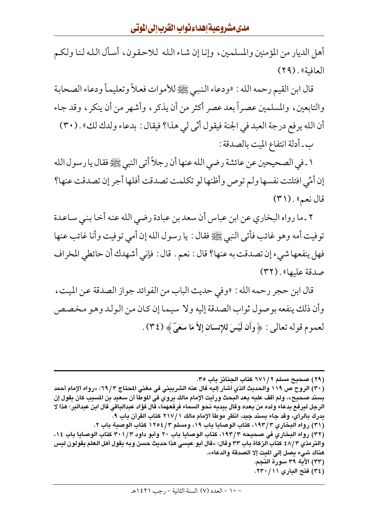أهل الديار من المؤمنين والمسلمين، وإنا إن شاء الله للاحقون، أسأل الله لنا ولكم العافية». (٢٩)

قال ابن القيم رحمه الله : «ودعاء النبي ﷺ للأموات فعلاً وتعليماً ودعاء الصحابة والتابعين، والمسلمين عصراً بعد عصر أكثر من أن يذكر ، وأشهر من أن ينكر ، وقد جاء أن الله يرفع درجة العبد في الجنة فيقول أنّي لي هذا؟ فيقال : بدعاء ولدك لك» . (٣٠) ب ـ أدلة انتفاع الميت بالصدقة :

١ ـ في الصحيحين عن عائشة رضي الله عنها أن رجلاً أتى النبي ﷺ فقال يا رسول الله إن أُمِّي افتلتت نفسها ولم توص وأظنها لو تكلمت تصدقت أفلها أجر إن تصدقت عنها؟ قال نعم» . ( ۳ ۱)

٢ ـ ما رواه البخاري عن ابن عباس أن سعد بن عبادة رضي الله عنه أخا بني ساعدة توفيت أمه وهو غائب فأتي النبي ﷺ فقال : يا رسول الله إن أمي توفيت وأنا غائب عنها فهل ينفعها شيء إن تصدقت به عنها؟ قال : نعم . قال : فإني أشهدك أن حائطي المخراف صدقة عليها» . (٣٢)

قال ابن حجر رحمه الله : «وفي حديث الباب من الفوائد جواز الصدقة عن الميت، وأن ذلك ينفعه بوصول ثواب الصدقة إليه ولا سيما إن كان من الولد وهو مخصص لعموم قوله تعالى : ﴿ وَأَن لَّيْسَ للإِنسَانِ إِلاَّ مَا سَعَىٓ﴾ (٣٤) .

(٢٩) صحيح مسلم ٢ / ٦٧١ كتاب الجنائز باب ٣٥.

(٣٠) الروح ص ١١٩ والحديث الذي أشار إليه قال عنه الشربيني في مغني المحتاج ٣/ ٦٩: «رواه الإمام أحمد بسند صحيح»، ولم أقف عليه بعد البحث ورأيت الإمام مالك يروي في الموطأ أن سعيد بن المسيب كان يقول إن الرجل ليرفع بدعاء ولده من بعده وقال بيديه نحو السماء فرفعهما» قال فؤاد عبدالباقي قال ابن عبدالبر: هذا لا يدرك بالرأي، وقد جاء بسند جيد، انظر موطأ الإمام مالك ١ /٢١٧ كتاب القرآن باب ٩. (٣١) رواه البخاري ١٩٣/٣، كتاب الوصايا باب ١٩، ومسلم ١٢٥٤/٣ كتاب الوصية باب ٢. (٣٢) رواه البخاري في صحيحه ١٩٣/٣، كتاب الوصايا باب ٢٠ وأبو داود ٣٠١/٣ كتاب الوصايا باب ١٤، والترمذي ٤٨/٣ كتاب الزكاة باب ٣٣ وقال: «قال أبو عيسى هذا حديث حسن وبه يقول أهل العلم يقولون ليس هناك شيء يصل إلى الميت إلا الصدقة والدعاء». (٣٣) الآية ٣٩ سورة النجم. (٣٤) فتح البارى ١١/ ٢٣٠.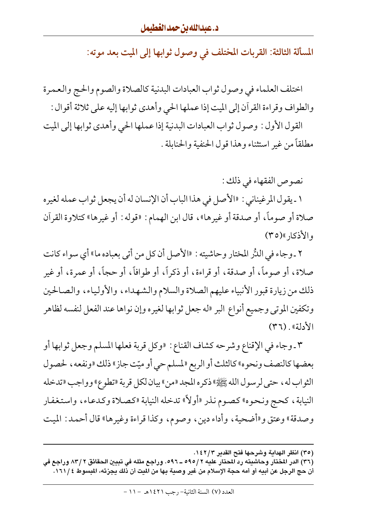المسألة الثالثة: القربات المختلف في وصول ثوابها إلى الميت بعد موته:

اختلف العلماء في وصول ثواب العبادات البدنية كالصلاة والصوم والحج والعمرة والطواف وقراءة القرأن إلى الميت إذا عملها الحي وأهدى ثوابها إليه على ثلاثة أقوال : القول الأول : وصول ثواب العبادات البدنية إذا عملها الحي وأهدى ثوابها إلى الميت

مطلقاً من غير استثناء وهذا قول الحنفية والحنابلة .

نصوص الفقهاء في ذلك :

١ ـ يقول المرغيناني : «الأصل في هذا الباب أن الإنسان له أن يجعل ثواب عمله لغيره صلاة أو صوماً، أو صدقة أو غيرها»، قال ابن الهمام: «قوله: أو غيرها» كتلاوة القرآن والأذكا<sub>د</sub> »(٣٥)

٢ ـ وجاء في اللدُّر المختار وحاشيته : «الأصل أن كل من أتى بعباده ما» أي سواء كانت صلاة، أو صوماً، أو صدقة، أو قراءة، أو ذكراً، أو طوافاً، أو حجاً، أو عمرة، أو غير ذلك من زيارة قبور الأنبياء عليهم الصلاة والسلام والشهداء، والأولياء، والصالحين وتكفين الموتى وجميع أنواع البر «له جعل ثوابها لغيره وإن نواها عند الفعل لنفسه لظاهر الأدلة». (٣٦)

٣ ـ وجاء في الإقناع وشرحه كشاف القناع : «وكل قربة فعلها المسلم وجعل ثوابها أو بعضها كالنصف ونحوه» كالثلث أو الربع «لمسلم حي أو ميّت جاز» ذلك «ونفعه ، لحصول الثواب له ، حتى لرسول الله ﷺ» ذكره المجد «من» بيان لكل قربة «تطوع» وواجب «تدخله النيابة ، كحج ونحوه» كصوم نذر «أولاً» تدخله النيابة «كصلاة وكدعاء ، واستغفار وصدقة» وعتق و«أضحية ، وأداء دين ، وصوم، وكذا قراءة وغيرها» قال أحمد : الميت

<sup>(</sup>٣٥) انظر الهداية وشرحها فتح القدير ١٤٢/٣.

<sup>(</sup>٣٦) الدر المختار وحاشيته رد المحتار عليه ٢ /٥٩٥ ــ ٥٩٦. وراجع مثله في تبيين الحقائق ٢ /٨٣ وراجع في أن حج الرجل عن أبيه أو أمه حجة الإسلام من غير وصية بها من الميت أن ذلك يجزئه، المبسوط ١٦١/٤.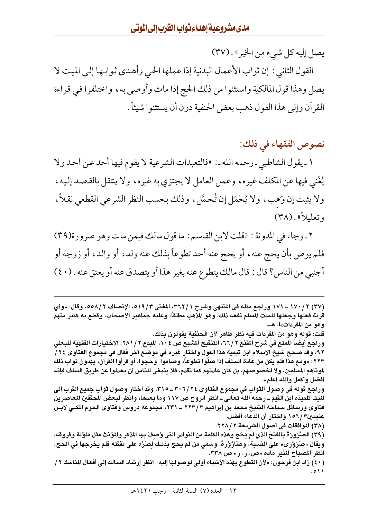يصل إليه كل شيء من الخير» . (٣٧)

القول الثاني : إن ثواب الأعمال البدنية إذا عملها الحي وأهدى ثوابها إلى الميت لا يصل وهذا قول المالكية واستثنوا من ذلك الحج إذا مات وأوصىي به ، واختلفوا في قراءة القرآن وإلى هذا القول ذهب بعض الحنفية دون أن يستثنوا شيئاً .

## نصوص الفقهاء في ذلك:

١ ـ يقول الشاطبي ـ رحمه الله ـ : «فالتعبدات الشرعية لا يقوم فيها أحد عن أحد ولا يُغْنِي فيها عن المكلف غيره، وعمل العامل لا يجتزي به غيره، ولا ينتقل بالقصد إليه، ولا يثبت إن وُهب، ولا يُحْمَل إن تُحمَّل ، وذلك بحسب النظر الشرعي القطعي نقلاً ، وتعليلاً» . (٣٨)

٢ ـ وجاء في المدونة : «قلت لابن القاسم : ما قول مالك فيمن مات وهو صرورة(٣٩) فلم يوص بأن يحج عنه ، أو يحج عنه أحد تطوعاً بذلك عنه ولد ، أو والد ، أو زوجة أو أجنبي من الناس؟ قال : قال مالك يتطوع عنه بغير هذا أو يتصدق عنه أو يعتق عنه . (٤٠)

(٣٧) ٢ / ١٧٠ ــ ١٧١ وراجع مثله في المنتهي وشرح ٢ / ٣٦٢، المغنى ٩ / ٥١٩، الإنصاف ٢ /٥٥٨، وقال: «وأي قربة فعلها وجعلها للميت المسلم نفعه ذلك، وهو المذهب مطلقاً، وعليه جماهير الأصحاب، وقطع به كثير منهم وهو من المفردات»ا. هــ. قلت: قوله وهو من المفردات فيه نظر ظاهر لأن الحنفية يقولون بذلك. وراجع أيضاً المتع في شرح المقنع ٢٦/٢، التنقيح المشبع ص ١٠٤، المبرع ٢٨١/٢، الاختيارات الفقهية للبعلي ٩٢، وقد صحح شيخ الإسلام ابن تيمية هذا القول واختار غيره في موضع آخر فقال في مجموع الفتاوى ٢٤ / ٢٢٣: «ومع هذا فلم يكن من عادة السلف إذا صلُّوا تطوعاً، وصاموا وحجوا، أو قرأوا القرآن، يهدون ثواب ذلك لموتاهم المسلمين، ولا لخصوصهم، بل كان عادتهم كما تقدم، فلا ينبغي للناس أن يعدلوا عن طريق السلف فإنه أفضل وأكمل والله أعلم». وراجع قوله في وصول الثواب في مجموع الفتاوى ٢٤ /٢٠٦ ـ ٣١٥، وقد اختار وصول ثواب جميع القرب إلى الميت تلميذه ابن القيم ــ رحمه الله تعالى ــ انظر الروح ص ١١٧ وما بعدها، وانظر لبعض المحققين المعاصرين فتاوى ورسائل سماحة الشيخ محمد بن إبراهيم ٢٢٣/٣ ـــ ٢٢١، مجموعة دروس وفتاوى الحرم المكـي لابـن عثىمىن٣/١٥٦ واختار أن الدعاء أفضل. (٣٨) الموافقات في أصول الشريعة ٢ /٢٢٨. (٣٩) الصَّرَورَةُ بِالفَتحِ الذي لم يَحُج وهذه الكلمة من النوادر التي وُصفَ بِها المذكر والمؤنث مثل مَلوْلة وفروقه، ويقال «صَرَوْري» على النسبة، وصَارُوْرةٌ. وسمى من لم يحج بذلـك لصَرِّه على نفقته فلم يخرجها في الحج، انظر المصباح المنير مادة «ص. ر. ر» ص ٣٣٨.

<sup>(</sup> ٤٠ ) زاد ابن فرحون: «لأن التطوع بهذه الأشياء أولى لوصولها إليه» انظر إرشاد السالك إلى أفعال المناسك ٢ /  $011$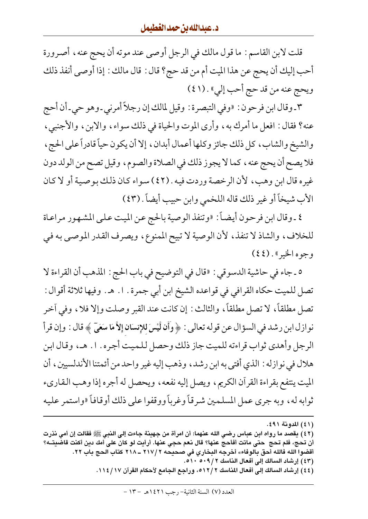قلت لابن القاسم : ما قول مالك في الرجل أوصى عند موته أن يحج عنه ، أصرورة أحب إليك أن يحج عن هذا الميت أم من قد حج؟ قال : قال مالك : إذا أوصى أنفذ ذلك ويحج عنه من قد حج أحب إلي» . (١ ٤ )

٣ ـ وقال ابن فرحون : «وفي التبصرة : وقيل لمالك إن رجلاً أمرني ـ وهو حي ـ أن أحج عنه؟ فقال : افعل ما أمرك به ، وأرى الموت والحياة في ذلك سواء ، والابن ، والأجنبي ، والشيخ والشاب، كل ذلك جائز وكلها أعمال أبدان، إلا أن يكون حياً قادراً على الحج، فلا يصح أن يحج عنه ، كما لا يجوز ذلك في الصلاة والصوم، وقيل تصح من الولد دون غيره قال ابن وهب، لأن الرخصة وردت فيه . (٤٢) سواء كان ذلك بوصية أو لا كان الأب شيخاً أو غير ذلك قاله اللخمي وابن حبيب أيضاً . (٤٣)

٤ ـ وقال ابن فرحون أيضاً: «وتنفذ الوصية بالحج عن الميت على المشهور مراعاة للخلاف، والشاذ لا تنفذ، لأن الوصية لا تبيح الممنوع، ويصرف القدر الموصىي به في وجوه الخير » . (٤٤)

٥ ـ جاء في حاشية الدسوقي : «قال في التوضيح في باب الحج : المذهب أن القراءة لا تصل للميت حكاه القرافي في قواعده الشيخ ابن أبي جمرة . ١. هـ. وفيها ثلاثة أقوال : تصل مطلقاً، لا تصل مطلقاً، والثالث : إن كانت عند القبر وصلت وإلا فلا ، وفي آخر نوازل ابن رشد في السؤال عن قوله تعالى : ﴿ وَأَن لَّيْسَ للإِنسَانِ إِلاَّ مَا سَعَىٓ ﴾ قال : وإن قرأ الرجل وأهدى ثواب قراءته للميت جاز ذلك وحصل للميت أجره. ١. هـ، وقال ابن هلال في نوازله : الذي أفتى به ابن رشد، وذهب إليه غير واحد من أئمتنا الأندلسيين، أن الميت ينتفع بقراءة القرآن الكريم، ويصل إليه نفعه، ويحصل له أجره إذا وهب القاريء ثوابه له، وبه جرى عمل المسلمين شرقاً وغرباً ووقفوا على ذلك أوقافاً «واستمر عليه

(٤٤) إرشاد السالك إلى أفعال المناسك ١٢/٢ه، وراجع الجامع لأحكام القرآن ١١٤/١٧.

<sup>(</sup>٤١) المدونة ٤٩١.

<sup>(</sup>٤٢) يقصد ما رواه ابن عباس رضي الله عنهما: أن امرأة من جهينة جاءت إلى النبي ﷺ فقالت إن أمي نذرت أن تحج، فلم تحج حتى ماتت أفأحج عنها؟ قال نعم حجي عنها. أرأيت لو كان على أمك دين أكنت قاضيتــه؟ أقضوا الله فالله أحق بالوفاء» أخرجه البخاري في صحيحه ٢ /٢١٧ ـ ٢١٨ كتاب الحج باب ٢٢. (٤٣) إرشاد السالك إلى أفعال الناسك ٥١٩/٢ ٥١٠ .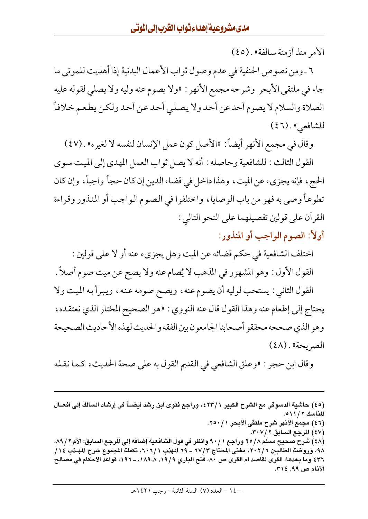الأمر منذ أزمنة سالفة» . (٤٥)

٦ ـ ومن نصوص الحنفية في عدم وصول ثواب الأعمال البدنية إذا أهديت للموتى ما جاء في ملتقى الأبحر وشرحه مجمع الأنهر : «ولا يصوم عنه وليه ولا يصلى لقوله عليه الصلاة والسلام لا يصوم أحد عن أحد ولا يصلبي أحد عن أحد ولكن يطعم خلافاً للشافعي» . (٤٦)

وقال في مجمع الأنهر أيضاً: «الأصل كون عمل الإنسان لنفسه لا لغيره» . (٤٧)

القول الثالث : للشافعية وحاصله : أنه لا يصل ثواب العمل المهدي إلى الميت سوى الحج، فإنه يجزيء عن الميت، وهذا داخل في قضاء الدين إن كان حجاً واجباً، وإن كان تطوعـاً وصبي به فهو من باب الوصايا، واختلفوا في الـصوم الـواجب أو المنذور وقراءة القرآن على قولين تفصيلهما على النحو التالي :

أولاً: الصوم الواجب أو المنذور:

اختلف الشافعية في حكم قضائه عن الميت وهل يجزيء عنه أو لا على قولين : القول الأول : وهو المشهور في المذهب لا يُصام عنه ولا يصح عن ميت صوم أصلاً . القول الثاني : يستحب لوليه أن يصوم عنه ، ويصح صومه عنه ، ويبرأ به الميت ولا يحتاج إلى إطعام عنه وهذا القول قال عنه النووي : «هو الصحيح المختار الذي نعتقده ، وهو الذي صححه محققو أصحابنا الجامعون بين الفقه والحديث لهذه الأحاديث الصحيحة الصريحة» . (٤٨)

وقال ابن حجر : «وعلق الشافعي في القديم القول به على صحة الحديث ، كما نقله

(٤٥) حاشية الدسوقي مع الشرح الكبير ٢٣/١، وراجع فتوى ابن رشد أيضـــاً في إرشاد السالك إلى أفعــال المناسك ٢ / ٥١١. (٤٦) مجمع الأنهر شرح ملتقى الأبحر ٢٥٠/١. (٤٧) المرجع السابق ٣٠٧/٢. (٤٨) شرح صحيح مسلم ٢٥/٨ وراجع ٩٠/١ وانظر في قول الشافعية إضافة إلى المرجع السابق: الأم ٨٩/٢، ٩٨، وروضة الطالبين ٢/ ٢٠٢، مغني المحتاج ٣/ ٦٧ ــ ٦٩ المهذب ١ / ٦٠٦، تكملة المجموع شرح المهـذب ١٤ / ٤٣٦ وما بعدها، القرى لقاصد أم القرى ص ٨٠، فتح الباري ١٩/٩, ١٨٩,٨، ـ ١٩٦، قواعد الأحكام في مصالح الأنام ص ٩٩, ٣١٤.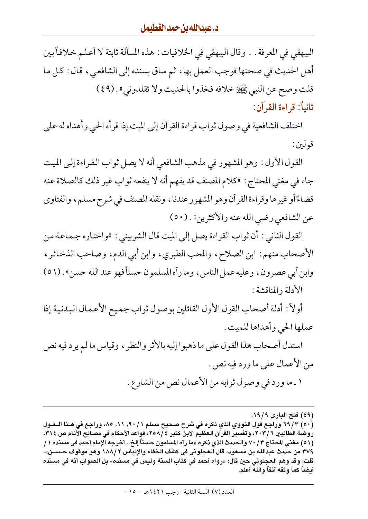البيهقي في المعرفة . . وقال البيهقي في الخلافيات : هذه المسألة ثابتة لا أعلم خلافاً بين أهل الحديث في صحتها فوجب العمل بها، ثم ساق بسنده إلى الشافعي، قال : كل ما قلت وصح عن النبي ﷺ خلافه فخذوا بالحديث ولا تقلدوني» . (٤٩) ثانياً: قراءة القرآن:

اختلف الشافعية في وصول ثواب قراءة القرآن إلى الميت إذا قرأه الحي وأهداه له على قولين :

القول الأول : وهو المشهور في مذهب الشافعي أنه لا يصل ثواب القراءة إلى الميت جاء في مغنى المحتاج : «كلام المصنف قد يفهم أنه لا ينفعه ثواب غير ذلك كالصلاة عنه قضاءً أو غيرها وقراءة القرآن وهو المشهور عندنا ، ونقله المصنف في شرح مسلم ، والفتاوي عن الشافعي رضي الله عنه والأكثرين» . (٥٠)

القول الثاني : أن ثواب القراءة يصل إلى الميت قال الشربيني : «واختاره جماعة من الأصحاب منهم: ابن الصلاح، والمحب الطبري، وابن أبي الدم، وصاحب الذخائر ، وابن أبي عصرون، وعليه عمل الناس، وما رأه المسلمون حسناً فهو عند الله حسن» . (٥١) الأدلة والمناقشة :

أولاً : أدلة أصحاب القول الأول القائلين بوصول ثواب جميع الأعمال البدنية إذا عملها الحي وأهداها للميت .

استدل أصحاب هذا القول على ما ذهبوا إليه بالأثر والنظر ، وقياس ما لم يرد فيه نص من الأعمال على ما ورد فيه نص .

١ ـ ما ورد في وصول ثوابه من الأعمال نص من الشارع .

<sup>(</sup>٤٩) فتح الباري ١٩/٩.

<sup>(</sup>٥٠) ٦٩/٣ وراجع قول النووي الذي ذكره في شرح صحيح مسلم ٩٠/١١, ٨٠، وراجع في هـذا الــقــول روضة الطالبين ٦ /٢٠٣، وتفسير القرآن العظيم لابن كثير ٤ /٢٥٨، قواعد الأحكام في مصالح الأنام ص ٣١٤. (٥١) مغني المحتاج ٧٠/٣ والحديث الذي ذكره «ما رآه المسلمون حسناً إلخ.. أخرجه الإمام أحمد في مسنده ١ / ٣٧٩ من حديث عبدالله بن مسعود، قال العجلوني في كشف الخفاء والإلباس ٢ /١٨٨ وهو موقوف حــسـن»، قلت: وقد وهم العجلوني حين قال: «رواه أحمد في كتاب السنّة وليس في مسنده» بل الصواب أنه في مسنده أيضـاً كما وثقه آنفاً والله أعلم.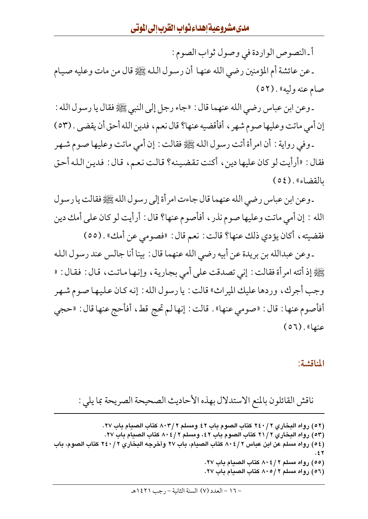أ ـ النصوص الواردة في وصول ثواب الصوم :

ـ عن عائشة أم المؤمنين رضيي الله عنهـا أن رسـول الـلـه ﷺ قال من مات وعليه صـيـام صام عنه وليه» . (٥٢)

ـ وعن ابن عباس رضي الله عنهما قال : «جاء رجل إلى النبي ﷺ فقال يا رسول الله : إن أمي ماتت وعليها صوم شهر ، أفأقضيه عنها؟ قال نعم ، فدين الله أحق أن يقضى . (٥٣)

ـ وفي رواية : أن امرأة أتت رسول الله ﷺ فقالت : إن أمي ماتت وعليها صوم شـهـر فقال : «أرأيت لو كان عليها دين ، أكنت تقضينه؟ قالت نعم، قال : فدين الله أحق (٥٤). (٥٤)

ـ وعن ابن عباس رضي الله عنهما قال جاءت امرأة إلى رسول الله ﷺ فقالت يا رسول الله : إن أمي ماتت وعليها صوم نذر ، أفأصوم عنها؟ قال : أرأيت لو كان على أمك دين فقضيته ، أكان يؤدي ذلك عنها؟ قالت : نعم قال : «فصومي عن أمك» . (٥٥)

ـ وعن عبدالله بن بريدة عن أبيه رضي الله عنهما قال : بينا أنا جالس عند رسول الله ﷺ إذ أتته امرأة فقالت : إني تصدقت على أمي بجارية ، وإنها ماتت ، قال : فقال : « وجب أجرك، وردها عليك الميراث» قالت : يا رسول الله : إنه كان عليها صوم شهر أفأصوم عنها : قال : «صومي عنها» . قالت : إنها لم تحج قط، أفأحج عنها قال : «حجى  $(07)$ . (الا

#### المناقشة:

ناقش القائلون بالمنع الاستدلال بهذه الأحاديث الصحيحة الصريحة بما يلي :

(٥٢) رواه البخاري ٢٤٠/٢ كتاب الصوم باب ٤٢ ومسلم ٨٠٣/٢ كتاب الصيام باب ٢٧. (٥٣) رواه البخاري ٢١/٢ كتاب الصوم باب ٤٢، ومسلم ٢ / ٨٠٤ كتاب الصيام باب ٢٧. (٥٤) رواه مسلم عن ابن عباس ٢ / ٨٠٤ كتاب الصيام، باب ٢٧ وأخرجه البخاري ٢ / ٢٤٠ كتاب الصوم، باب (٥٥) رواه مسلم ٨٠٤/٢ كتاب الصيام باب ٢٧. (٥٦) رواه مسلم ٨٠٥/٢ كتاب الصبام باب ٢٧.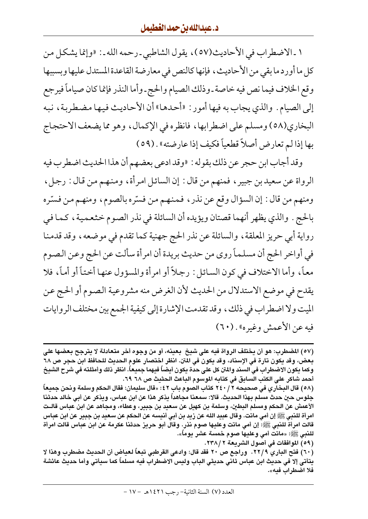١ ـ الاضطراب في الأحاديث(٥٧)، يقول الشاطبي ـ رحمه الله ـ: «وإنما يشكل من كل ما أورد ما بقى من الأحاديث، فإنها كالنص في معارضة القاعدة المستدل عليها وبسببها وقع الخلاف فيما نص فيه خاصة ـ وذلك الصيام والحج ـ وأما النذر فإنما كان صياماً فيرجع إلى الصيام . والذي يجاب به فيها أمور : «أحدهـا» أن الأحاديث فيها مضطربة ، نبه البخاري(٥٨) ومسلم على اضطرابها، فانظره في الإكمال، وهو مما يضعف الاحتجاج بها إذا لم تعارض أصلاً قطعياً فكيف إذا عارضته» . (٥٩)

وقد أجاب ابن حجر عن ذلك بقوله : «وقد ادعى بعضهم أن هذا الحديث اضطرب فيه الرواة عن سعيد بن جبير ، فمنهم من قال : إن السائل امرأة ، ومنهم من قال : رجل ، ومنهم من قال : إن السؤال وقع عن نذر ، فمنهم من فسّره بالصوم، ومنهم من فسّره بالحج . والذي يظهر أنهما قصتان ويؤيده أن السائلة في نذر الصوم خثعمية ، كما في رواية أبي حريز المعلقة، والسائلة عن نذر الحج جهنية كما تقدم في موضعه، وقد قدمنا في أواخر الحج أن مسلماً روى من حديث بريدة أن امرأة سألت عن الحج وعن الصوم معـاً، وأما الاختلاف في كون السـائل : رجلاً أو امرأة والمسؤول عنهـا أختـاً أو أمـاً، فلا يقدح في موضع الاستدلال من الحديث لأن الغرض منه مشروعية الصوم أو الحج عن الميت ولا اضطراب في ذلك ، وقد تقدمت الإشارة إلى كيفية الجمع بين مختلف الروايات فيه عن الأعمش وغيره» . (٦٠)

(٦٠) فتح الباري ٢٢/٩. وراجع ص ٢٠ فقد قال: وادعى القرطبي تبعاً لعباض أن الحديث مضطرب وهذا لا يتأتي إلا في حديث ابن عباس ثاني حديثي الباب وليس الاضطراب فيه مسلماً كما سيأتي وأما حديث عائشة فلا اضطر اب فيه».

<sup>(</sup>٥٧) المضطرب: هو أن يختلف الرواة فيه على شيخ بعينه، أو من وجوه أخر متعادلة لا يترجح بعضها على بعض، وقد يكون تارة في الإسناد، وقد يكون في المتن. انظر اختصار علوم الحديث للحافظ ابن حجر ص ٦٨ وكما يكون الاضطراب فى السند والمتن كل على حدة يكون أيضاً فيهما جميعاً. انظر ذلك وأمثلته فى شرح الشيخ أحمد شاكر على الكتب السابق في كتابه الموسوم الباعث الحثيث ص ٦٨ ٦٩.

<sup>(</sup>٥٨) قال البخاري في صحيحه ٢ / ٢٤٠ كتاب الصوم باب ٤٢ : «قال سليمان: فقال الحكم وسلمة ونحن جميعاً جلوس حين حدث مسلم بهذا الحديث. قالا: سمعنا مجاهداً يذكر هذا عن ابن عباس، ويذكر عن أبي خالد حدثنا الأعمش عن الحكم ومسلم البطين، وسلمة بن كهيل عن سعيد بن جبير، وعطاء، ومجاهد عن ابن عباس قالـت امرأة للنبي ﷺ إن أمي ماتت. وقال عبيد الله عن زيد بن أبي أنيسه عن الحكم عن سعيد بن جبير عن ابن عباس قالت امرأة للنبي ﷺ: إن أمي ماتت وعليها صوم نذر. وقال أبو حريز حدثنا عكرمة عن ابن عباس قالت امرأة للنبي ﷺ: «ماتت أمي وعليها صوم خمسة عشر بوماً».

<sup>(</sup>٥٩) الموافقات في أصول الشريعة ٢٣٨/٢.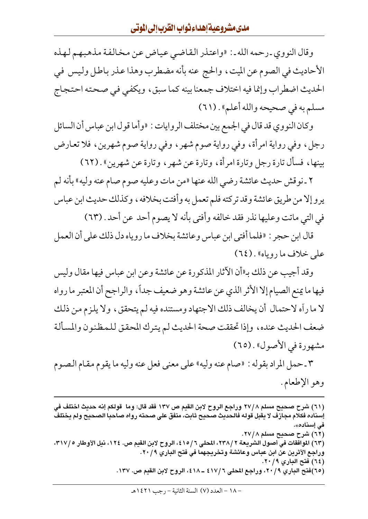وقال النووي<sub>-</sub>رحمه الله ـ: «واعتذر القاضي عياض عن مخالفة مذهبهم لهذه الأحاديث في الصوم عن الميت، والحج عنه بأنه مضطرب وهذا عذر باطل وليس في الحديث اضطراب وإنما فيه اختلاف جمعنا بينه كما سبق، ويكفي في صحته احتجاج مسلم به في صحيحه والله أعلم» . (٦١)

وكان النووي قد قال في الجمع بين مختلف الروايات : «وأما قول ابن عباس أن السائل رجل، وفي رواية امرأة، وفي رواية صوم شهر، وفي رواية صوم شهرين، فلا تعارض بينها، فسأل تارة رجل وتارة امرأة، وتارة عن شهر، وتارة عن شهرين» . (٦٢)

٢ ـ نوقش حديث عائشة رضي الله عنها «من مات وعليه صوم صام عنه وليه» بأنه لم يرو إلا من طريق عائشة وقد تركته فلم تعمل به وأفتت بخلافه ، وكذلك حديث ابن عباس في التي ماتت وعليها نذر فقد خالفه وأفتى بأنه لا يصوم أحد عن أحد . (٦٣)

قال ابن حجر : «فلما أفتى ابن عباس وعائشة بخلاف ما روياه دل ذلك على أن العمل علي خلاف ما روياه» . (٦٤)

وقد أجيب عن ذلك بـ«أن الآثار المذكورة عن عائشة وعن ابن عباس فيها مقال وليس فيها ما يمنع الصيام إلا الأثر الذي عن عائشة وهو ضعيف جداً، والراجح أن المعتبر ما رواه لا ما رأه لاحتمال أن يخالف ذلك الاجتهاد ومستنده فيه لم يتحقق، ولا يلزم من ذلك ضعف الحديث عنده، وإذا تحققت صحة الحديث لم يترك المحقق للمظنون والمسألة مشهورة في الأصول» . (٦٥)

٣ ـ حمل المراد بقوله : «صام عنه وليه» على معنى فعل عنه وليه ما يقوم مقام الصـوم وهو الإطعام.

<sup>(</sup>٦١) شرح صحيح مسلم ٢٧/٨ وراجع الروح لابن القيم ص ١٣٧ فقد قال: وما قولكم إنه حديث اختلف في إسناده فكلام مجازف لا يقبل قوله فالحديث صحيح ثابت، متفق على صحته رواه صاحبا الصحيح ولم يختلف فى إسناد*ه*». (٦٢) شرح صحيح مسلم ٢٧/٨. (٦٣) الموافقات في أصول الشريعة ٢٣٨/ ٢٣٨، المحلي ٦/ ٤١٥، الروح لابن القيم ص. ١٢٤، نيل الأوطار ٣١٧/٥، وراجع الأثرين عن ابن عباس وعائشة وتخريجهما في فتح الباري ٢٠/٩. (٦٤) فتح الباري ٢٠/٩. (٦٥)فتح الباري ٢٠/٩، وراجع المحلي ٤١٧/٦ ــ ٤١٨، الروح لابن القيم ص. ١٣٧.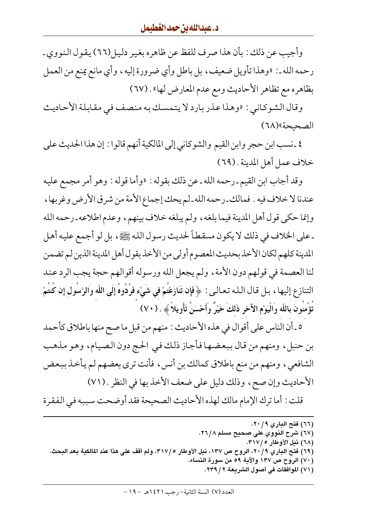وأجيب عن ذلك : بأن هذا صرف للفظ عن ظاهره بغير دليل(٦٦) يقول النووي ـ رحمه الله ـ: «وهذا تأويل ضعيف ، بل باطل وأي ضرورة إليه ، وأي مانع يمنع من العمل بظاهره مع تظاهر الأحاديث ومع عدم المعارض لها» . (٦٧)

وقال الشوكاني : «وهذا عذر بارد لا يتمسك به منصف في مقابلة الأحاديث الصحبحة» (٦٨)

٤ ـ نسب ابن حجر وابن القيم والشوكاني إلى المالكية أنهم قالوا : إن هذا الحديث على خلاف عمل أهل المدينة . (٦٩)

وقد أجاب ابن القيم ـ رحمه الله ـ عن ذلك بقوله : «وأما قوله : وهو أمر مجمع عليه عندنا لا خلاف فيه . فمالك ـرحمه الله ـ لم يحك إجماع الأمة من شرق الأرض وغربها ، وإنما حكي قول أهل المدينة فيما بلغه ، ولم يبلغه خلاف بينهم ، وعدم اطلاعه ـ رحمه الله ـ على الخلاف في ذلك لا يكون مسقطاً لحديث رسول الله ﷺ، بل لو أجمع عليه أهل المدينة كلهم لكان الأخذ بحديث المعصوم أولى من الأخذ بقول أهل المدينة الذين لم تضمن لنا العصمة في قولهم دون الأمة ، ولم يجعل الله ورسوله أقوالهم حجة يجب الرد عند التنازع إليها ، بل قـال الـلـه تـعـالـي : ﴿ فَإِن تَنَازَعْتَمْ في شَيْءٍ فَرُدُّوهُ إِلَى اللَّه وَالرَّسَول إِن كُنتُمْ تَؤْمِنُونَ بِاللَّه وَالْيَوْمِ الآخرِ ذَلكَ خَيْرٌ وَأَحْسَنُ تَأْوِيلاً ﴾ . (٧٠)

٥ ـ أن الناس على أقوال في هذه الأحاديث : منهم من قبل ما صح منها باطلاق كأحمد بن حنبل، ومنهم من قال ببعضها فأجاز ذلك في الحج دون الصيام، وهو مذهب الشافعي، ومنهم من منع باطلاق كمالك بن أنس، فأنت ترى بعضهم لم يأخذ ببعض الأحاديث وإن صح، وذلك دليل على ضعف الأخذ بها في النظر . (٧١)

قلت : أما ترك الإمام مالك لهذه الأحاديث الصحيحة فقد أوضحت سببه في الفقرة

- (٦٧) شرح النووي على صحيح مسلم ٢٦/٨.
	- (٦٨) نيل الأوطار ٣١٧/٥.
- (٦٩) فتح الباري ٢٠/٩، الروح ص ١٣٧، نيل الأوطار ٣١٧/٥، ولم أقف على هذا عند المالكية بعد البحث.
	- (٧٠) الروح ص ١٣٧ والآية ٥٩ من سورة النساء.
		- (٧١) الموافقات في أصول الشريعة ٢ / ٢٣٩.

<sup>(</sup>٦٦) فتح البارى ٢٠/٩.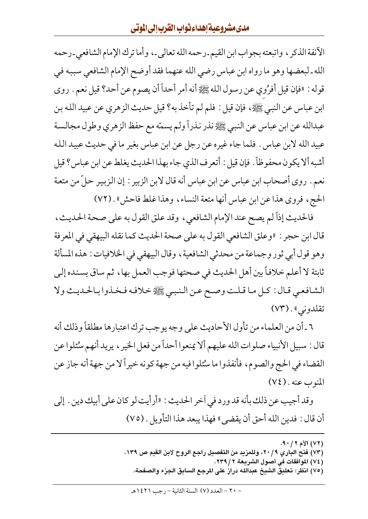الأنفة الذكر ، واتبعته بجواب ابن القيم ـرحمه الله تعالى ـ، وأما ترك الإمام الشافعي ـرحمه الله ـ لبعضها وهو ما رواه ابن عباس رضي الله عنهما فقد أوضح الإمام الشافعي سببه في قوله : «فإن قيل أفرُوي عن رسول الله ﷺ أنه أمر أحداً أن يصوم عن أحد؟ قيل نعم . روى ابن عباس عن النبي ﷺ، فإن قيل : فلم لم تأخذ به؟ قيل حديث الزهري عن عبيد الله بن عبدالله عن ابن عباس عن النبي ﷺ نذر نذراً ولم يسمّه مع حفظ الزهري وطول مجالسة عبيد الله لابن عباس . فلما جاء غيره عن رجل عن ابن عباس بغير ما في حديث عبيد الله أشبه ألا يكون محفوظاً. فإن قيل : أتعرف الذي جاء بهذا الحديث يغلط عن ابن عباس؟ قيل نعم . روى أصحاب ابن عباس عن ابن عباس أنه قال لابن الزبير : إن الزبير حلَّ من متعة الحج، فروى هذا عن ابن عباس أنها متعة النساء، وهذا غلط فاحش» . (٧٢)

فالحديث إذاً لم يصح عند الإمام الشافعي، وقد علق القول به على صحة الحديث، قال ابن حجر : «وعلق الشافعي القول به على صحة الحديث كما نقله البيهقي في المعرفة وهو قول أبي ثور وجماعة من محدثي الشافعية ، وقال البيهقي في الخلافيات : هذه المسألة ثابتة لا أعلم خلافاً بين أهل الحديث في صحتها فوجب العمل بها، ثم ساق بسنده إلى الشافعيي قـال: كـل مـا قـلت وصـح عـن الـنـبـي ﷺ خـلافـه فـخـذوا بـالحـديـث ولا تقلدوني» . (٧٣)

٦ ـ أن من العلماء من تأول الأحاديث على وجه يوجب ترك اعتبارها مطلقاً وذلك أنه قال : سبيل الأنبياء صلوات الله عليهم ألا يمنعوا أحداً من فعل الخير ، يريد أنهم منْئلوا عن القضاء في الحج والصوم، فأنفذوا ما سُئلوا فيه من جهة كونه خيراً لا من جهة أنه جاز عن  $(V\xi)$ . المنوب

وقد أجيب عن ذلك بأنه قد ورد في أخر الحديث : «أرأيت لو كان على أبيك دين . إلى أن قال : فدين الله أحق أن يقضي » فهذا يبعد هذا التأويل . (٧٥)

> (٧٢) الأم ٢ / ٩٠. (٧٣) فتح الباري ٢٠/٩، وللمزيد من التفصيل راجع الروح لابن القيم ص ١٣٩. (٧٤) الموافقات في أصول الشريعة ٢ / ٢٣٩. (٧٥) انظر: تعليق الشيخ عبدالله دراز على المرجع السابق الجزء والصفحة.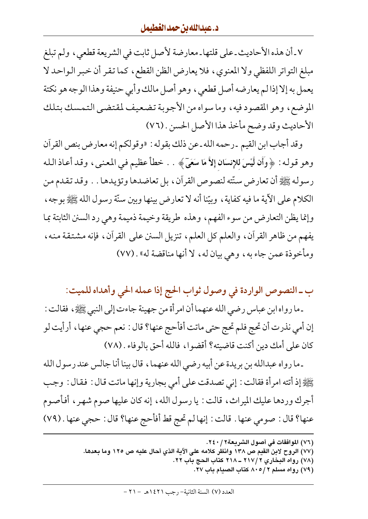٧ ـ أن هذه الأحاديث ـ على قلتها ـ معارضة لأصل ثابت في الشريعة قطعي ، ولم تبلغ مبلغ التواتر اللفظي ولا المعنوي، فلا يعارض الظن القطع، كما تقر أن خبر الواحد لا يعمل به إلا إذا لم يعارضه أصل قطعي ، وهو أصل مالك وأبي حنيفة وهذا الوجه هو نكتة الموضع، وهو المقصود فيه، وما سواه من الأجوبة تضعيف لمقتضى التمسك بتلك الأحاديث وقد وضح مأخذ هذا الأصل الحسن . (٧٦)

وقد أجاب ابن القيم ـ رحمه الله ـ عن ذلك بقوله : «وقولكم إنه معارض بنص القرآن وهو قوله : ﴿ وَأَن لَّيْسَ للإِنسَانِ إِلاَّ مَا سَعَيٌّ ﴾ . . خطأَ عظيم فـي المعنـي ، وقـد أعـاذ الـله رسوله ﷺ أن تعارض سنّته لنصوص القرآن، بل تعاضدها وتؤيدها . . وقد تقدم من الكلام على الآية ما فيه كفاية ، وبيّنا أنه لا تعارض بينها وبين سنّة رسول الله ﷺ بوجه ، وإنما يظن التعارض من سوء الفهم، وهذه طريقة وخيمة ذميمة وهي رد السنن الثابتة بما يفهم من ظاهر القرآن، والعلم كل العلم، تنزيل السنن على القرآن، فإنه مشتقة منه، ومأخوذة عمن جاء به، وهي بيان له، لا أنها مناقضة له» . (٧٧)

ب ـ النصوص الواردة في وصول ثواب الحج إذا عمله الحي وأهداه للميت:

ـ ما رواه ابن عباس رضي الله عنهما أن امرأة من جهينة جاءت إلى النبي ﷺ، فقالت : إن أمي نذرت أن تحج فلم تحج حتى ماتت أفأحج عنها؟ قال : نعم حجي عنها ، أرأيت لو كان على أمك دين أكنت قاضيته؟ أقضوا، فالله أحق بالوفاء . (٧٨)

ـ ما رواه عبدالله بن بريدة عن أبيه رضي الله عنهما ، قال بينا أنا جالس عند رسول الله يَّيَّالِيُّهِ إذ أتته امرأة فقالت : إني تصدقت على أمي بجارية وإنها ماتت قال : فقال : وجب أجرك وردها عليك الميراث، قالت : يا رسول الله، إنه كان عليها صوم شهر، أفأصوم عنها؟ قال : صومي عنها . قالت : إنها لم تحج قط أفأحج عنها؟ قال : حجى عنها . (٧٩)

- (٧٧) الروح لابن القيم ص ١٣٨ وانظر كلامه على الآية الذي أحال عليه ص ١٢٥ وما بعدها.
	- (٧٨) رواه البخاري ٢١٧/٢ ــ ٢١٨ كتاب الحج باب ٢٢.
		- (٧٩) رواه مسلم ٨٠٥/٢ كتاب الصيام باب ٢٧.

<sup>(</sup>٧٦) الموافقات في أصول الشريعة٢ / ٢٤٠.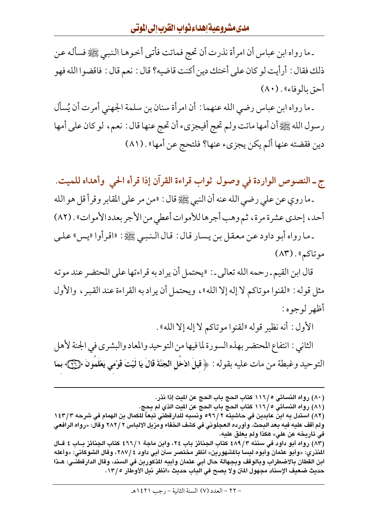### مدىمشروعيةإهداءثواب القرب إلى الموتى

ـ ما رواه ابن عباس أن امرأة نذرت أن تحج فماتت فأتـي أخـوهـا الـنبـي ﷺِ فسأله عـن ذلك فقال : أرأيت لو كان على أختك دين أكنت قاضيه؟ قال : نعم قال : فاقضوا الله فهو أحق بالوفاء» . (٨٠)

ـ ما رواه ابن عباس رضي الله عنهما : أن امرأة سنان بن سلمة الجهني أمرت أن يُسأل رسول الله ﷺ أن أمها ماتت ولم تحج أفيجزيء أن تحج عنها قال : نعم، لو كان على أمها دين فقضته عنها ألم يكن يجزيء عنها؟ فلتحج عن أمها» . (٨١)

ج ـ النصوص الواردة في وصول ثواب قراءة القرآن إذا قرأه الحي وأهداه للميت. ـ ما روى عن على رضي الله عنه أن النبي ﷺ قال : «من مر على المقابر وقرأ قل هو الله أحد، إحدى عشرة مرة، ثم وهب أجرها للأموات أعطى من الأجر بعدد الأموات» . (٨٢) ـ ما رواه أبو داود عن معقل بن يسار قال : قال الـنبـي ﷺ : «اقرأوا «يس» علـي

موتاكم» . (٨٣)

قال ابن القيم ـ رحمه الله تعالى ـ : «يحتمل أن يراد به قراءتها على المحتضر عند موته مثل قوله : «لقنوا موتاكم لا إله إلا الله»، ويحتمل أن يراد به القراءة عند القبر ، والأول أظهر لوجوه:

الأول: أنه نظير قوله «لقنوا موتاكم لا إله إلا الله» . الثاني : انتفاع المحتضر بهذه السورة لما فيها من التوحيد والمعاد والبشري في الجنة لأهل التوحيد وغبطة من مات عليه بقوله : ﴿ قِيلَ ادْخَلِ الْجَنَّةَ قَالَ يَا لَيْتَ قَوْمي يَعْلَمُونَ ﴿ وَجَ ٓ بِمَا

(٨٠) رواه النسائي ١١٦/٥ كتاب الحج باب الحج عن الميت إذا نذر.

(٨١) رواه النسائي ٥ /١١٦ كتاب الحج باب الحج عن الميت الذي لم يحج.

(٨٣) رواه أبو داود في سننه ٨٩/٣ كتاب الجنائز باب ٢٤، وابن ماجة ٢٦٦/١ كتاب الجنائز بــاب ٤ قــال المنذري: «وأبو عثمان وأبوه ليسا بالمشهورين» انظر مختصر سنن أبي داود ٢٨٧/ ٤ وقال الشوكاني: «وأعله ابن القطان بالاضطراب وبالوقف وبجهالة حال أبي عثمان وأبيه المذكورين في السند، وقال الدارقطنـي: هـذا حديث ضعيف الإسناد مجهول المتن ولا يصح في الباب حديث «انظر نيل الأوطار ١٣/٥.

<sup>(</sup>٨٢) استدل به ابن عابدين في حاشيته ٢/٢٦ه ونسبه للدارقطني تبعاً للكمال بن الهمام في شرحه ١٤٣/٣ ولم أقف عليه فيه بعد البحث. وأورده العجلوني في كشف الخفاء ومزيل الالباس ٢ / ٢٨٢ وقال: «رواه الرافعي في تاريخه عن علي» هكذا ولم يعلق عليه.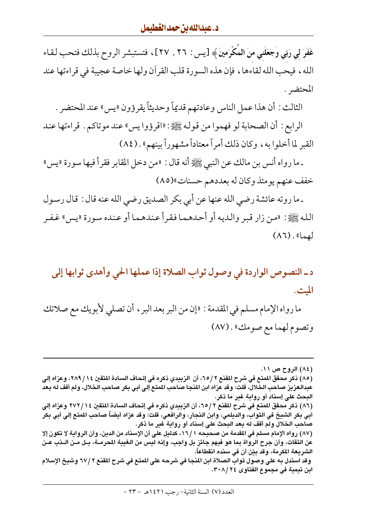غَفَرَ لي رَبّي وَجَعَلَني منَ المُكْرَمينَ﴾ [يس : ٢٦ , ٢٧]، فتستبشر الروح بذلك فتحب لقاء الله ، فيحب الله لقاءها ، فإن هذه السورة قلب القرآن ولها خاصة عجيبة في قراءتها عند المحتضر .

الثالث : أن هذا عمل الناس وعادتهم قديماً وحديثاً يقرؤون «يس» عند المحتضر .

الرابع : أن الصحابة لو فهموا من قوله ﷺ: «اقرؤوا يس» عند موتاكم . قراءتها عند القبر لما أخلوا به، وكان ذلك أمراً معتاداً مشهوراً بينهم» . (٨٤)

ـ ما رواه أنس بن مالك عن النبي ﷺ أنه قال : «من دخل المقابر فقرأ فيها سورة «يس» خفف عنهم يومئذ وكان له بعددهم حسنات»(٨٥)

ـ ما روته عائشة رضي الله عنها عن أبي بكر الصديق رضي الله عنه قال : قال رسول الله ﷺ: «من زار قبر والديه أو أحدهما فقرأ عندهما أو عنده سورة «يس» غـفـر  $(\Lambda \mathfrak{1}).$  (  $\mathfrak{g}_{\alpha\beta}$ 

د ـ النصوص الواردة في وصول ثواب الصلاة إذا عملها الحي وأهدى ثوابها إلى الميت.

ما رواه الإمام مسلم في المقدمة : «إن من البر بعد البر ، أن تصلى لأبويك مع صلاتك وتصوم لهما مع صومك» . (٨٧)

(٨٤) الروح ص ١١. (٨٥) ذكر محقق المنتع في شرح المقنع ٢ /٦٥، أن الزبيدي ذكره في إتحاف السادة المتقين ١٤ / ٢٨٩، وعزاه إلى عبدالعزيز صاحب الخلالَ، قلت: وقد عزاه ابن المنجا صاحب المتع إلى أبى بكر صاحب الخلال، ولم أقف له بعد البحث على إسناد أو رواية غير ما ذكر. (٨٦) ذكر محقق الممتع في شرح المقنع ٢ / ٦٥، أن الزبيدي ذكره في إتحاف السادة المتقبن ٢٧٢/١٤ وعزاه إلى أبي بكر الشيخ في الثواب، والديلمي، وابن النجار، والرافعي، قلت: وقد عزاه أيضاً صاحب المتع إلى أبي بكر صاحب الخلال ولم أقف له بعد البحث على إسناد أو رواية غير ما ذكر. (٨٧) رواه الإمام مسلم في المقدمة من صحيحه ١٦/١، كدليل على أن الإسناد من الدين، وأن الرواية لا تكون إلا عن الثقات، وأن جرح الرواة بما هو فيهم جائز بل واجب، وإنه ليس من الغيبة المحرمــة، بــل مــن الــذب عــن الشريعة المكرمة، وقد بيّن أن في سنده انقطاعاً. وقد استدل به على وصول ثواب الصلاة ابن المنجا في شرحه على المنع في شرح المقنع ٢٧/٢ وشيخ الإسلام ابن تيمية في مجموع الفتاوي ٢٠٨/٢٤.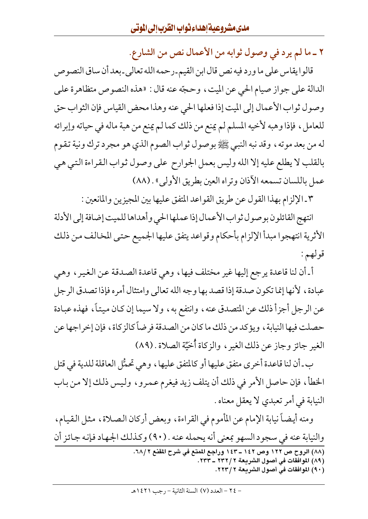٢ ـ ما لم يرد في وصول ثوابه من الأعمال نص من الشارع.

قالوا يقاس على ما ورد فيه نص قال ابن القيم-رحمه الله تعالى-بعد أن ساق النصوص الدالة على جواز صيام الحي عن الميت ، وحجّه عنه قال : «هذه النصوص متظاهرة على وصول ثواب الأعمال إلى الميت إذا فعلها الحي عنه وهذا محض القياس فإن الثواب حق للعامل، فإذا وهبه لأخيه المسلم لم يمنع من ذلك كما لم يمنع من هبة ماله في حياته وإبرائه له من بعد موته ، وقد نبه النبي ﷺ بوصول ثواب الصوم الذي هو مجرد ترك ونية تقوم بالقلب لا يطلع عليه إلا الله وليس بعمل الجوارح على وصول ثواب القراءة التي هي عمل باللسان تسمعه الآذان وتراه العين بطريق الأولى» . (٨٨)

٣ ـ الإلزام بهذا القول عن طريق القواعد المتفق عليها بين المجيزين والمانعين :

انتهج القائلون بوصول ثواب الأعمال إذا عملها الحى وأهداها للميت إضافة إلى الأدلة الأثرية انتهجوا مبدأ الإلزام بأحكام وقواعد يتفق عليها الجميع حتبي المخالف من ذلك قولهم :

أ ـ أن لنا قاعدة يرجع إليها غير مختلف فيها ، وهي قاعدة الصدقة عن الغير ، وهي عبادة ، لأنها إنما تكون صدقة إذا قصد بها وجه الله تعالى وامتثال أمره فإذا تصدق الرجل عن الرجل أجزأ ذلك عن المتصدق عنه ، وانتفع به ، ولا سيما إن كان ميتاً ، فهذه عبادة حصلت فيها النيابة ، ويؤكد من ذلك ما كان من الصدقة فرضاً كالزكاة ، فإن إخراجها عن الغير جائز وجاز عن ذلك الغير ، والزكاة أُخيَّة الصلاة . (٨٩)

ب ـ أن لنا قاعدة أخرى متفق عليها أو كالمتفق عليها ، وهي تحمُّل العاقلة للدية في قتل الخطأ، فإن حاصل الأمر في ذلك أن يتلف زيد فيغرم عمرو ، وليس ذلك إلا من باب النيابة في أمر تعبدي لا يعقل معناه .

ومنه أيضاً نيابة الإمام عن المأموم في القراءة، وبعض أركان الصلاة، مثل القيام، والنيابة عنه في سجود السهو بمعنى أنه يحمله عنه . (٩٠) وكذلك الجهاد فإنه جائز أن (٨٨) الروح ص ١٢٢ وص ١٤٢ ـ ١٤٣ وراجع المتع في شرح المقنع ٦٨/٢. (٨٩) الموافقات في أصول الشريعة ٢ / ٢٣٢ ـ ٢٣٣. (٩٠) الموافقات في أصول الشريعة ٢ /٢٢٣.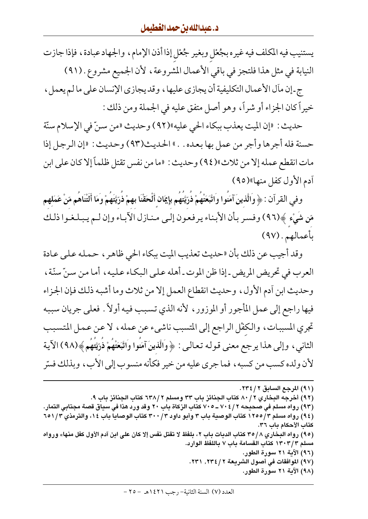يستنيب فيه المكلف فيه غيره بجُعْل وبغير جُعْل إذا أذن الإمام، والجهاد عبادة، فإذا جازت النيابة في مثل هذا فلتجز في باقي الأعمال المشروعة ، لأن الجميع مشروع . (٩١)

ج ـ إن مأل الأعمال التكليفية أن يجازي عليها ، وقد يجازي الإنسان على ما لم يعمل ، خيراً كان الجزاء أو شراً، وهو أصل متفق عليه في الجملة ومن ذلك :

حديث : «إن الميت يعذب ببكاء الحي عليه»(٩٢) وحديث «من سنّ في الإسلام سنّة حسنة فله أجرها وأجر من عمل بها بعده . . » الحديث(٩٣) وحديث : «إن الرجل إذا مات انقطع عمله إلا من ثلاث»(٩٤) وحديث : «ما من نفس تقتل ظلماً إلا كان على ابن آدم الأول كفل منها»(٩٥)

وفي القرآن : ﴿ وَالَّذِينَ آمَنُوا وَاتَّبَعَتْهُمْ ذُرِّيَّتُهُم بِإِيمَانِ أَلْحَقْنَا بِهِمْ ذُرِّيَّتَهُمْ وَمَا أَلَتْنَاهُم مّنْ عَمَلهم مّن شَيْء ﴾(٩٦) وفسر بأن الأبناء يرفعون إلى منازل الآباء وإن لـم يبلغوا ذلك بأعمالهم. (٩٧)

وقد أجيب عن ذلك بأن «حديث تعذيب الميت ببكاء الحي ظاهر ، حمله على عادة العرب في تحريض المريض -إذا ظن الموت ـ أهله علىي البكاء عليه، أما من سنِّ سنَّة، وحديث ابن أدم الأول، وحديث انقطاع العمل إلا من ثلاث وما أشبه ذلك فإن الجزاء فيها راجع إلى عمل المأجور أو الموزور ، لأنه الذي تسبب فيه أولاً . فعلى جريان سببه تجري المسببات، والكفْل الراجع إلى المتسبب ناشيء عن عمله، لا عن عمل المتسبب الثاني، وإلى هذا يرجع معنى قوله تعالى: ﴿وَالَّذِينَ آمَنُوا وَاتَّبَعَتْهُمْ ذُرِّيَّتِهُمْ﴾(٩٨) الآية لأن ولده كسب من كسبه ، فما جرى عليه من خير فكأنه منسوب إلى الأب ، وبذلك فسّر

- (٩٢) أخرجه البخاري ٨٠/ ٢ كتاب الجنائز باب ٣٣ ومسلم ٢ /٦٣٨ كتاب الجنائز باب ٩.
- (٩٣) رواه مسلم في صحيحه ٢ / ٧٠٤ ـ ٧٠٥ كتاب الزكاة باب ٢٠ وقد ورد هذا في سياق قصة مجتابي التمار.
- (٩٤) رواه مسلم ١٢٥٥/٣ كتاب الوصية باب ٣ وأبو داود ٣٠٠/٣ كتاب الوصايا باب ١٤، والترمذي ٦٥١/٣ كتاب الأحكام باب ٣٦.
- (٩٥) رواه البخاري ٢٥/٨ كتاب الديات باب ٢، بلفظ لا تقتل نفس إلا كان على ابن آدم الأول كفل منها» ورواه مسلم ١٣٠٣/٣ كتاب القسامة باب ٧ باللفظ الوارد.
	- (٩٦) الآية ٢١ سورة الطور.
	- (٩٧) الموافقات في أصول الشريعة ٢ / ٢٣٤, ٢٣١.
		- (٩٨) الآية ٢١ سورة الطور.

<sup>(</sup>٩١) المرجع السابق ٢/ ٢٣٤.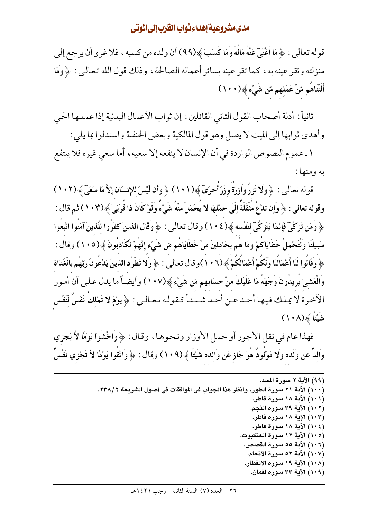قوله تعالى : ﴿ مَا أَغْنَىٓ عَنْهُ مَالَهُ وَمَا كَسَبَ ﴾(٩٩) أن ولده من كسبه ، فلا غرو أن يرجع إلى منزلته وتقر عينه به، كما تقر عينه بسائر أعماله الصالحة، وذلك قول الله تعالىي : ﴿وَمَا أَلَتْنَاهُم مّنْ عَمَلِهِم مّن شَيْءٍ ﴾(١٠٠)

ثانياً : أدلة أصحاب القول الثاني القائلين : إن ثواب الأعمال البدنية إذا عملها الحي وأهدى ثوابها إلى الميت لا يصل وهو قول المالكية وبعض الحنفية واستدلوا بما يلي :

١ ـ عموم النصوص الواردة في أن الإنسان لا ينفعه إلا سعيه ، أما سعى غيره فلا ينتفع به و منها :

قوله تعالى : ﴿ وَلَا تَزِرُ وَازِرَةً وِزْرَ أَخْرَىَ﴾(١٠١) ﴿ وَأَن لَّيْسَ للإِنسَانِ إِلاَّ مَا سَعَىٓ ﴾(١٠٢) وقوله تعالى : ﴿ وَإِن تَدْعُ مَثْقَلَةً إِلَيَّ حمْلهَا لا يَحْمَلْ منْهُ شَيْءٌ وَلَوْ كَانَ ذَا قُرْبَيّ ﴾(١٠٣) ثم قال : ﴿ وَمَن تَزِكَّىٓ فَإِنَّمَا يَتَزِكَّىٓ لَنَفْسِهِ ﴾(١٠٤) وقال تعالى : ﴿ وَقَالَ الذينَ كَفَرُوا للَّذينَ آمَنُوا اتَّبِعُوا سَبيلَنَا وَلْنَحْملْ خَطَايَاكَمْ وَمَا هُم بحَاملينَ منْ خَطَايَاهُم مّن شَيْءٍ إِنَّهُمْ لَكَاذبُونَ ﴾(١٠٥) وقال : ﴿ وَقَالُوا لَنَا أَعْمَالُنَا وَلَكُمْ أَعْمَالُكُمْ ﴾(١٠٦)وقال تعالى : ﴿ وَلا تَطْرُد الذينَ يَدْعُونَ رَبَّهُم بالْغَدَاة وَالْعَشيِّ يُرِيدُونَ وَجْهَدُ مَا عَلَيْكَ منْ حسَابِهِم مّن شَيْءٍ ﴾(١٠٧) وأيضـاً ما يدل عـلـي أن أمـور الآخرة لا يملك فيها أحد عـن أحـد شـيـئـاً كـقـولـه تـعـالـي : ﴿يَوْمَ لا تَمْلكَ نَفْسٌ لِّنَفْس شَيْئًا ﴾ (١٠٨)

فهذا عام في نقل الأجور أو حمل الأوزار ونحوها ، وقال : ﴿ وَاخْشُوْا يَوْمًا لاَّ يَجْزِي وَاللَّهُ عَنِ وَلَده وَلا مَوْلُودٌ هُوَ جَازِ عَنِ وَالده شَيْئًا ﴾(١٠٩) وقال : ﴿ وَاتَّقُوا يَوْمًا لأَ تَجْزي نَفْسٌ

```
(٩٩) الآية ٢ سورة المسد.
(١٠٠) الآية ٢١ سورة الطور، وانظر هذا الجواب في الموافقات في أصول الشريعة ٢٣٨/٢.
                                                       (١٠١) الآية ١٨ سورة فاطر.
                                                      (١٠٢) الآية ٣٩ سورة النجم.
                                                       (١٠٣) الإية ١٨ سورة فاطر.
                                                       (١٠٤) الآية ١٨ سورة فاطر.
                                                   (١٠٥) الآية ١٢ سورة العنكبوت.
                                                    (١٠٦) الآية ٥٥ سورة القصص.
                                                     (١٠٧) الآية ٥٢ سورة الأنعام.
                                                    (١٠٨) الآية ١٩ سورة الانفطار.
                                                      (١٠٩) الآية ٣٣ سورة لقمان.
```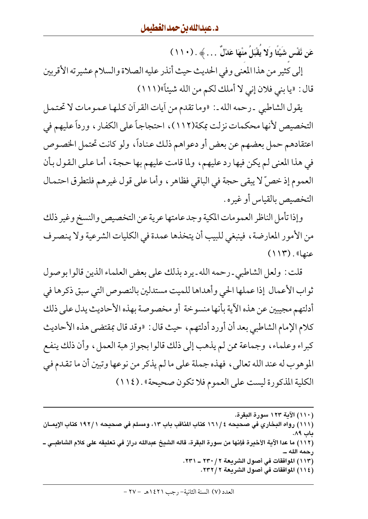عَن نَّفْس شَيْئًا وَلا يَقْبَلُ منْهَا عَدْلٌ … ﴾ . (١١٠).

إلى كثير من هذا المعنى وفي الحديث حيث أنذر عليه الصلاة والسلام عشيرته الأقربين قال : «يا بني فلان إني لا أملك لكم من الله شيئاً»(١١١)

يقول الشاطبي ـ رحمه الله ـ : «وما تقدم من أيات القرأن كلها عمومات لا تحتمل التخصيص لأنها محكمات نزلت بمكة(١١٢)، احتجاجاً على الكفار ، ورداً عليهم في اعتقادهم حمل بعضهم عن بعض أو دعواهم ذلك عناداً، ولو كانت تحتمل الخصوص في هذا المعنى لم يكن فيها رد عليهم، ولما قامت عليهم بها حجة، أما على القول بأن العموم إذ خصَّ لا يبقى حجة في الباقي فظاهر ، وأما على قول غيرهم فلتطرق احتمال التخصيص بالقياس أو غيره .

وإذا تأمل الناظر العمومات المكية وجد عامتها عرية عن التخصيص والنسخ وغير ذلك من الأمور المعارضة، فينبغي للبيب أن يتخذها عمدة في الكليات الشرعية ولا ينصرف  $(114)$ . (عنها

قلت : ولعل الشاطبي ـ رحمه الله ـ يرد بذلك على بعض العلماء الذين قالوا بوصول ثواب الأعمال إذا عملها الحي وأهداها للميت مستدلين بالنصوص التي سبق ذكرها في أدلتهم مجيبين عن هذه الآية بأنها منسوخة أو مخصوصة بهذه الأحاديث يدل على ذلك كلام الإمام الشاطبي بعد أن أورد أدلتهم ، حيث قال : «وقد قال بمقتضى هذه الأحاديث كبراء وعلماء، وجماعة ممن لم يذهب إلى ذلك قالوا بجواز هبة العمل، وأن ذلك ينفع الموهوب له عند الله تعالى، فهذه جملة على ما لم يذكر من نوعها وتبين أن ما تقدم في الكلية المذكورة ليست على العموم فلا تكون صحيحة» . (١١٤)

(١١٠) الآية ١٢٣ سورة البقرة. (١١١) رواه البخاري في صحيحه ٤ /١٦١ كتاب المناقب باب ١٣، ومسلم في صحيحه ١٩٢/١ كتاب الإيمــان باب ۸۹. (١١٢) ما عدا الآية الأخيرة فإنها من سورة البقرة، قاله الشيخ عبدالله دراز في تعليقه على كلام الشاطبـي ــ رحمه الله ۔۔ (١١٣) الموافقات في أصول الشريعة ٢ / ٢٣٠ ـ ٢٣١. (١١٤) الموافقات في أصول الشريعة ٢٣٢/٢.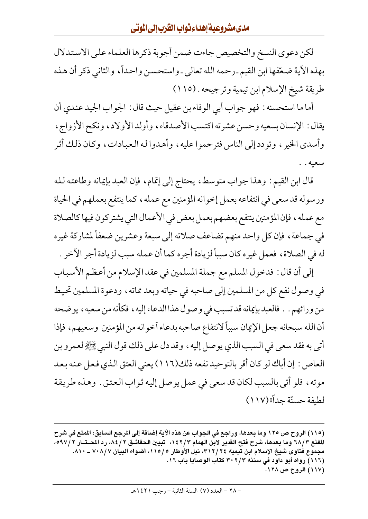لكن دعوى النسخ والتخصيص جاءت ضمن أجوبة ذكرها العلماء على الاستدلال بهذه الأية ضعّفها ابن القيم ـ رحمه الله تعالى ـ واستحسن واحداً ، والثاني ذكر أن هذه طريقة شيخ الإسلام ابن تيمية وترجيحه . (١١٥)

أما ما استحسنه : فهو جواب أبي الوفاء بن عقيل حيث قال : الجواب الجيد عندي أن يقال: الإنسان بسعيه وحسن عشرته اكتسب الأصدقاء، وأولد الأولاد، ونكح الأزواج، وأسدى الخير ، وتودد إلى الناس فترحموا عليه ، وأهدوا له العبادات ، وكان ذلك أثر سعيه . .

قال ابن القيم : وهذا جواب متوسط، يحتاج إلى إتمام، فإن العبد بإيمانه وطاعته لله ورسوله قد سعى في انتفاعه بعمل إخوانه المؤمنين مع عمله ، كما ينتفع بعملهم في الحياة مع عمله ، فإن المؤمنين ينتفع بعضهم بعمل بعض في الأعمال التي يشتركون فيها كالصلاة في جماعة ، فإن كل واحد منهم تضاعف صلاته إلى سبعة وعشرين ضعفاً لمشاركة غيره له في الصلاة، فعمل غيره كان سبباً لزيادة أجره كما أن عمله سبب لزيادة أجر الآخر .

إلى أن قال : فدخول المسلم مع جملة المسلمين في عقد الإسلام من أعظم الأسباب في وصول نفع كل من المسلمين إلى صاحبه في حياته وبعد مماته ، ودعوة المسلمين تحيط من ورائهم . . فالعبد بإيمانه قد تسبب في وصول هذا الدعاء إليه ، فكأنه من سعيه ، يوضحه أن الله سبحانه جعل الإيمان سبباً لانتفاع صاحبه بدعاء آخوانه من المؤمنين وسعيهم، فإذا أتبي به فقد سعى في السبب الذي يوصل إليه ، وقد دل على ذلك قول النبي ﷺ لعمرو بن العاص : إن أباك لو كان أقر بالتوحيد نفعه ذلك(١١٦) يعني العتق الذي فعل عنه بعد موته، فلو أتى بالسبب لكان قد سعى في عمل يوصل إليه ثواب العتق . وهذه طريقة لطيفة حسنّة جداً»(١١٧)

<sup>(</sup>١١٥) الروح ص ١٢٥ وما بعدها، وراجع في الجواب عن هذه الآية إضافة إلى المرجع السابق: المنع في شرح المقنع ٦٨/٣ وما بعدها، شرح فتح القدير لابن الهمام ١٤٢/٣، تبيين الحقائـق ٨٤/٢، رد المحـتـار ٥٩٧/٢، مجموع فتاوى شيخ الإسلام ابن تيمية ٣١٢/٢٤، نيل الأوطار ١١٥/٥، أضواء البيان ٧٠٨/٧ ــ ٨١٠. (١١٦) رواه أبو داود في سننه ٣٠٢/٣ كتاب الوصايا باب ١٦. (١١٧) الروح ص ١٢٨.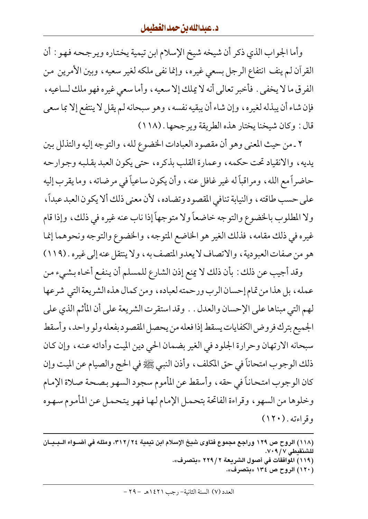وأما الجواب الذي ذكر أن شيخه شيخ الإسلام ابن تيمية يختاره ويرجحه فهو : أن القرآن لـم ينف انتفاع الرجل بسعي غيره، وإنما نفي ملكه لغير سعيه، وبين الأمرين من الفرق ما لا يخفى . فأخبر تعالى أنه لا يملك إلا سعيه ، وأما سعى غير ه فهو ملك لساعيه ، فإن شاء أن يبذله لغيره، وإن شاء أن يبقيه نفسه، وهو سبحانه لم يقل لا ينتفع إلا بما سعى قال: وكان شيخنا يختار هذه الطريقة ويرجحها . (١١٨)

٢ ـ من حيث المعنى وهو أن مقصود العبادات الخضوع لله ، والتوجه إليه والتذلل بين يديه، والانقياد تحت حكمه، وعمارة القلب بذكره، حتى يكون العبد بقلبه وجوارحه حاضراً مع الله، ومراقباً له غير غافلٍ عنه، وأن يكون ساعياً في مرضاته، وما يقرب إليه على حسب طاقته ، والنيابة تنافى المقصود وتضاده ، لأن معنى ذلك ألا يكون العبد عبداً ، ولا المطلوب بالخضوع والتوجه خاضعاً ولا متوجهاً إذا ناب عنه غيره في ذلك، وإذا قام غيره في ذلك مقامه، فذلك الغير هو الخاضع المتوجه، والخضوع والتوجه ونحوهما إنما هو من صفات العبودية ، والاتصاف لا يعدو المتصف به ، ولا ينتقل عنه إلى غيره . (١١٩)

وقد أجيب عن ذلك : بأن ذلك لا يمنع إذن الشارع للمسلم أن ينفع أخـاه بشيء من عمله ، بل هذا من تمام إحسان الرب ورحمته لعباده ، ومن كمال هذه الشريعة التي شرعها لهم التي مبناها على الإحسان والعدل . . وقد استقرت الشريعة على أن المأثم الذي على الجميع بترك فروض الكفايات يسقط إذا فعله من يحصل المقصود بفعله ولو واحد ، وأسقط سبحانه الارتهان وحرارة الجلود في الغير بضمان الحي دين الميت وأدائه عنه، وإن كان ذلك الوجوب امتحاناً في حق المكلف ، وأذن النبي ﷺ في الحج والصيام عن الميت وإن كان الوجوب امتحاناً في حقه ، وأسقط عن المأموم سجود السهو بصحة صلاة الإمام وخلوها من السهو ، وقراءة الفاتحة بتحمل الإمام لـهـا فـهـو يـتـحـمـل عـن المأموم سـهـوه وقراءته . (١٢٠)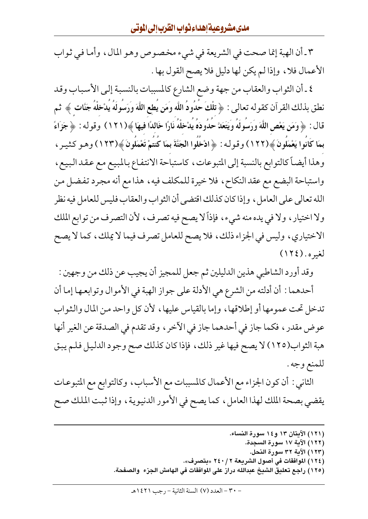٣ ـ أن الهبة إنما صحت في الشريعة في شيء مخصوص وهو المال، وأما في ثواب الأعمال فلا، وإذا لم يكن لها دليل فلا يصح القول بها .

٤ ـ أن الثواب والعقاب من جهة وضع الشارع كالمسبات بالنسبة إلىي الأسباب وقد نطق بذلك القرآن كقوله تعالى : ﴿ تِلْكَ حُدُودُ اللَّه وَمَن يُطعِ اللَّهَ وَرَسُولَهُ يُدْخِلْهُ جَنَّات ﴾ ثم قال : ﴿ وَمَن يَعْصِ اللَّهَ وَرَسُولَهُ وَيَتَعَلَّ حَدُودَهُ يَدْخَلْهُ نَارًا خَاللَّا فِيهَا ﴾(١٢١) وقوله : ﴿ جَزَاءً بمَا كَانُوا يَعْمَلُونَ ﴾(١٢٢) وقوله : ﴿ ادْخَلُوا الْجَنَّةَ بِمَا كُنتُمْ تَعْمَلُونَ ﴾(١٢٣) وهـو كثيـر ، وهذا أيضاً كالتوابع بالنسبة إلى المتبوعات، كاستباحة الانتفاع بالمبيع مع عقد البيع، واستباحة البضع مع عقد النكاح ، فلا خيرة للمكلف فيه ، هذا مع أنه مجرد تفضل من الله تعالى على العامل ، وإذا كان كذلك اقتضى أن الثواب والعقاب فليس للعامل فيه نظر ولا اختيار ، ولا في يده منه شيء ، فإذاً لا يصح فيه تصرف ، لأن التصرف من توابع الملك الاختياري، وليس في الجزاء ذلك، فلا يصح للعامل تصرف فيما لا يملك، كما لا يصح  $(112)$ . لغيره

وقد أورد الشاطبي هذين الدليلين ثم جعل للمجيز أن يجيب عن ذلك من وجهين : أحدهما : أن أدلته من الشرع هي الأدلة على جواز الهبة في الأموال وتوابعها إما أن تدخل تحت عمومها أو إطلاقها، وإما بالقياس عليها، لأن كل واحد من المال والثواب عوض مقدر ، فكما جاز في أحدهما جاز في الآخر ، وقد تقدم في الصدقة عن الغير أنها هبة الثواب(١٢٥) لا يصح فيها غير ذلك، فإذا كان كذلك صح وجود الدليل فلم يبق للمنع وجه .

الثاني : أن كون الجزاء مع الأعمال كالمسببات مع الأسباب، وكالتوابع مع المتبوعات يقضي بصحة الملك لهذا العامل، كما يصح في الأمور الدنيوية، وإذا ثبت الملك صح

> (١٢١) الآيتان ١٣ و١٤ سورة النساء. (١٢٢) الآية ١٧ سورة السجدة. (١٢٣) الآية ٣٢ سورة النحل. (١٢٤) الموافقات في أصول الشريعة ٢٤٠/٢ «بتصرف». (١٢٥) راجع تعليق الشيخ عبدالله دراز على الموافقات في الهامش الجزء ۖ والصفحة.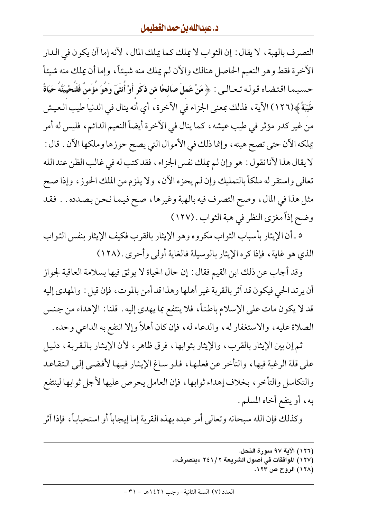التصر ف بالهبة ، لا يقال : إن الثواب لا يملك كما يملك المال ، لأنه إما أن يكون في الـدار الأخرة فقط وهو النعيم الحاصل هنالك والأن لم يملك منه شيئاً، وإما أن يملك منه شيئاً حسبـمـا اقـتـضـاه قـولـه تـعـالـي : ﴿ مَنْ عَملَ صَالحًا مّن ذَكَرٍ أَوْ أُنثَىٓ وَهُوَ مُؤْمنٌ فَلَنُحْييَنَّهُ حَيَاةً طَيِّبَةً﴾(١٢٦) الآية ، فذلك بمعنى الجزاء في الآخرة ، أي أنه ينال في الدنيا طيب العيش من غير كدر مؤثر في طيب عيشه ، كما ينال في الآخرة أيضاً النعيم الدائم ، فليس له أمر يملكه الآن حتى تصح هبته ، وإنما ذلك في الأموال التي يصح حوزها وملكها الآن . قال : لا يقال هذا لأنا نقول : هو وإن لم يملك نفس الجزاء ، فقد كتب له في غالب الظن عند الله تعالى واستقر له ملكاً بالتمليك وإن لم يحزه الآن، ولا يلزم من الملك الحوز، وإذا صح مثل هذا في المال، وصح التصرف فيه بالهبة وغيرها، صح فيما نحن بصدده . . فقد وضح إذاً مغزى النظر في هبة الثواب . (١٢٧)

٥ ـ أن الإيثار بأسباب الثواب مكروه وهو الإيثار بالقرب فكيف الإيثار بنفس الثواب الذي هو غاية، فإذا كره الإيثار بالوسيلة فالغاية أولى وأحرى . (١٢٨)

وقد أجاب عن ذلك ابن القيم فقال : إن حال الحياة لا يوثق فيها بسلامة العاقبة لجواز أن يرتد الحي فيكون قد آثر بالقربة غير أهلها وهذا قد أمن بالموت، فإن قيل : والمهدى إليه قد لا يكون مات على الإسلام باطناً، فلا ينتفع بما يهدي إليه . قلنا : الإهداء من جنس الصلاة عليه، والاستغفار له، والدعاء له، فإن كان أهلاً وإلا انتفع به الداعي وحده .

ثم إن بين الإيثار بالقرب، والإيثار بثوابها، فرق ظاهر، لأن الإيثار بالقربة، دليل على قلة الرغبة فيها، والتأخر عن فعلها، فلو ساغ الإيثار فيها لأفضى إلى التقاعد والتكاسل والتأخر، بخلاف إهداء ثوابها، فإن العامل يحرص عليها لأجل ثوابها لينتفع به، أو ينفع أخاه المسلم.

وكذلك فإن الله سبحانه وتعالى أمر عبده بهذه القربة إما إيجاباً أو استحباباً، فإذا آثر

- (١٢٧) الموافقات في أصول الشريعة ٢ / ٢٤١ «بتصرف».
	- (۱۲۸) الروح ص ۱۲۳.

<sup>(</sup>١٢٦) الآية ٩٧ سورة النحل.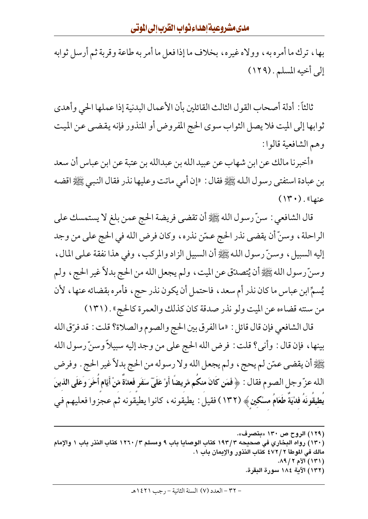بها، ترك ما أمره به، وولاه غيره، بخلاف ما إذا فعل ما أمر به طاعة وقربة ثم أرسل ثوابه إلى أخيه المسلم . (١٢٩)

ثالثاً: أدلة أصحاب القول الثالث القائلين بأن الأعمال البدنية إذا عملها الحي وأهدى ثوابها إلى الميت فلا يصل الثواب سوى الحج المفروض أو المنذور فإنه يقضيي عن الميت وهم الشافعية قالوا:

«أخبرنا مالك عن ابن شهاب عن عبيد الله بن عبدالله بن عتبة عن ابن عباس أن سعد بن عبادة استفتى رسول الله ﷺ فقال : «إن أمي ماتت وعليها نذر فقال النبي ﷺ اقضه  $(14)$ . (عنها

قال الشافعي : سنِّ رسول الله ﷺ أن تقضي فريضة الحج عمن بلغ لا يستمسك على الراحلة ، وسنِّ أن يقضي نذر الحج عمّن نذره ، وكان فرض الله في الحج على من وجد إليه السبيل، وسنِّ رسول الله ﷺ أن السبيل الزاد والمركب، وفي هذا نفقة على المال، وسنِّ رسول الله ﷺ أن يُتصدِّق عن الميت ، ولم يجعل الله من الحج بدلاً غير الحج ، ولم يُسمِّ ابنِ عباسٍ ما كان نذر أم سعدٍ، فاحتمل أن يكون نذر حجٍ، فأمره بقضائه عنها، لأن من سنته قضاءه عن الميت ولو نذر صدقة كان كذلك والعمرة كالحج» . (١٣١١)

قال الشافعي فإن قال قائل : «ما الفرق بين الحج والصوم والصلاة؟ قلت : قد فرِّق الله بينها، فإن قال : وأني؟ قلت : فرض الله الحج على من وجد إليه سبيلاً وسنّ رسول الله ﷺ أن يقضي عمّن لم يحج ، ولم يجعل الله ولا رسوله من الحج بدلاً غير الحج . وفرض الله عزّ وجل الصوم فقال : ﴿ فَمَن كَانَ منكَم مَّريضًا أَوْ عَلَىٓ سَفَرٍ فَعدَّةٌ مّنْ أَيَّام أَخَرَ وَعَلَى الذينَ يُطِيقُونَهُ فَدْيَةً طَعَامُ مَسْكِينٍ ﴾ (١٣٢) فقيل : يطيقونه ، كانوا يطيقونه ثم عجزوا فعليهم فيي

(١٢٩) الروح ص ١٣٠ «بتصرف». (١٣٠) رواه البخاري في صحيحه ١٩٣/٣ كتاب الوصايا باب ٩ ومسلم ٣/ ١٢٦٠ كتاب النذر باب ١ والإمام مالك في الموطأ ٢ /٤٧٢ كتاب النذور والإيمان باب ١. ( ۱۳۱ ) الأم ۲ / ۸۹. (١٣٢) الآية ١٨٤ سورة البقرة.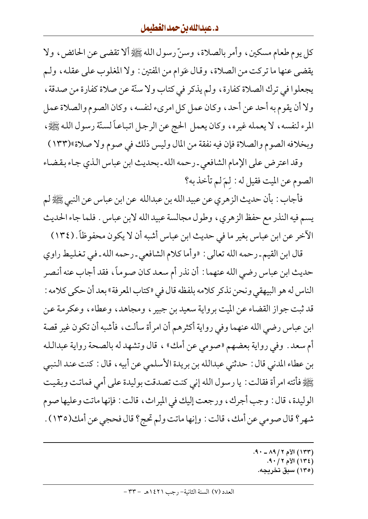كل يوم طعام مسكين، وأمر بالصلاة، وسنّ رسول الله ﷺ ألا تقضى عن الحائض، ولا يقضى عنها ما تركت من الصلاة، وقال عَوام من المفتين : ولا المغلوب على عقله، ولـم يجعلوا في ترك الصلاة كفارة، ولم يذكر في كتاب ولا سنّة عن صلاة كفارة من صدقة ، ولا أن يقوم به أحد عن أحد، وكان عمل كل امرىء لنفسه، وكان الصوم والصلاة عمل المرء لنفسه، لا يعمله غيره، وكان يعمل الحج عن الرجل اتباعاً لسنّة رسول الله ﷺ، وبخلافه الصوم والصلاة فإن فيه نفقة من المال وليس ذلك في صوم ولا صلاة»(١٣٣)

وقد اعترض على الإمام الشافعي ـ رحمه الله ـ بحديث ابن عباس الذي جاء بقضاء الصوم عن الميت فقيل له : لمّ لم تأخذ به؟

فأجاب : بأن حديث الزهري عن عبيد الله بن عبدالله عن ابن عباس عن النبي ﷺ لم يسم فيه النذر مع حفظ الزهري، وطول مجالسة عبيد الله لابن عباس . فلما جاء الحديث الأخر عن ابن عباس بغير ما في حديث ابن عباس أشبه أن لا يكون محفوظاً. (١٣٤)

قال ابن القيم ـ رحمه الله تعالى : «وأما كلام الشافعي ـ رحمه الله ـ في تغليط راوي حديث ابن عباس رضي الله عنهما : أن نذر أم سعد كان صوماً، فقد أجاب عنه أنصر الناس له هو البيهقي ونحن نذكر كلامه بلفظه قال في «كتاب المعرفة» بعد أن حكي كلامه : قد ثبت جواز القضاء عن الميت برواية سعيد بن جبير ، ومجاهد ، وعطاء ، وعكرمة عن ابن عباس رضي الله عنهما وفي رواية أكثرهم أن امرأة سألت، فأشبه أن تكون غير قصة أم سعد . وفي رواية بعضهم «صومي عن أمك» ، قال وتشهد له بالصحة رواية عبدالله بن عطاء المدنى قال : حدثني عبدالله بن بريدة الأسلمي عن أبيه ، قال : كنت عند النبي يَّظِيُّ فأتته امرأة فقالت : يا رسول الله إني كنت تصدقت بوليدة على أمي فماتت وبقيت الوليدة، قال : وجب أجرك، ورجعت إليك في الميراث، قالت : فإنها ماتت وعليها صوم شهر؟ قال صومي عن أمك، قالت : وإنها ماتت ولم تحج؟ قال فحجى عن أمك(١٣٥) .

- (١٣٣) الأم ٢ / ٨٩ ـ ٩٠.
	- (١٣٤) الأم ٢ / ٩٠.
- (۱۳۰) سبق تخریجه.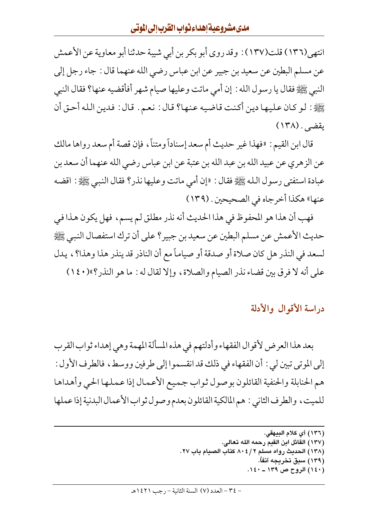انتهى(١٣٦) قلت(١٣٧) : وقد روى أبو بكر بن أبي شيبة حدثنا أبو معاوية عن الأعمش عن مسلم البطين عن سعيد بن جبير عن ابن عباس رضي الله عنهما قال : جاء رجل إلى النبي ﷺ فقال يا رسول الله : إن أمي ماتت وعليها صيام شهر أفأقضيه عنها؟ فقال النبي ﷺ: لـو كـان عـليـهـا ديـن أكـنت قـاضـيـه عـنـهـا؟ قـال : نـعـم . قـال : فـديـن الـلـه أحـق أن يقضى . (١٣٨)

قال ابن القيم : «فهذا غير حديث أم سعد إسناداً ومتناً ، فإن قصة أم سعد رواها مالك عن الزهري عن عبيد الله بن عبد الله بن عتبة عن ابن عباس رضي الله عنهما أن سعد بن عبادة استفتى رسول الله ﷺ فقال : «إن أمي ماتت وعليها نذر؟ فقال النبي ﷺ : اقضه عنها» هكذا أخر جاه في الصحيحين . (١٣٩)

فهب أن هذا هو المحفوظ في هذا الحديث أنه نذر مطلق لم يسم، فهل يكون هذا في حديث الأعمش عن مسلم البطين عن سعيد بن جبير؟ على أن ترك استفصال النبي ﷺ لسعد في النذر هل كان صلاة أو صدقة أو صياماً مع أن الناذر قد ينذر هذا وهذا؟ ، يدل على أنه لا فرق بين قضاء نذر الصيام والصلاة، وإلا لقال له : ما هو النذر؟»(١٤٠)

دراسة الأقوال والأدلة

بعد هذا العرض لأقوال الفقهاء وأدلتهم في هذه المسألة المهمة وهي إهداء ثواب القرب إلى الموتى تبين لي : أن الفقهاء في ذلك قد انقسموا إلى طرفين ووسط ، فالطرف الأول : هم الحنابلة والحنفية القائلون بوصول ثواب جميع الأعمال إذا عملها الحي وأهداها للميت، والطرف الثاني : هم المالكية القائلون بعدم وصول ثواب الأعمال البدنية إذا عملها

- (١٣٦) أي كلام البيهقي. (١٣٧) القائل ابن القيم رحمه الله تعالى. (١٣٨) الحديث رواه مسلم ٢ / ٤ ٨٠ كتاب الصيام باب ٢٧.
	- (۱۳۹) سبق تخریجه آنفاً.
	- (١٤٠) الروح ص ١٣٩ ـ ١٤٠.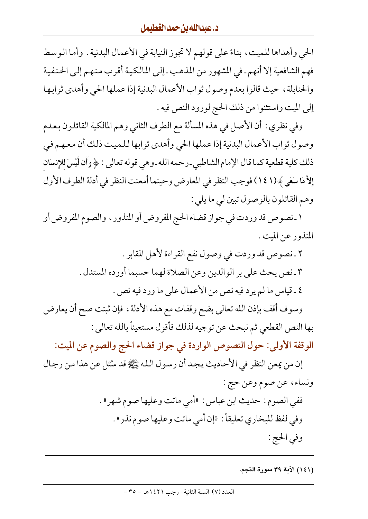الحي وأهداها للميت، بناءً على قولهم لا تجوز النيابة في الأعمال البدنية . وأما الوسط فهم الشافعية إلا أنهم ـ في المشهور من المذهب ـ إلى المالكية أقرب منهم إلى الحنفية والحنابلة، حيث قالوا بعدم وصول ثواب الأعمال البدنية إذا عملها الحي وأهدى ثوابها إلى الميت واستثنوا من ذلك الحج لورود النص فيه .

وفي نظري : أن الأصل في هذه المسألة مع الطرف الثاني وهم المالكية القائلون بعدم وصول ثواب الأعمال البدنية إذا عملها الحي وأهدى ثوابها للميت ذلك أن معهم في ذلك كلية قطعية كما قال الإمام الشاطبي ـ رحمه الله ـ وهي قوله تعالى : ﴿ وَأَن لَّيْسَ للإنسَانِ إِلاَّ مَا سَعَى ﴾(١٤١) فوجب النظر في المعارض وحينما أمعنت النظر في أدلة الطرف الأول وهم القائلون بالوصول تبين لي ما يلي :

١ ـ نصوص قدوردت في جواز قضاء الحج المفروض أو المنذور ، والصوم المفروض أو المنذور عن الميت .

> ٢ ـ نصوص قد وردت في وصول نفع القراءة لأهل المقابر . ٣ ـ نص يحث على بر الوالدين وعن الصلاة لهما حسبما أورده المستدل . ٤ ـ قياس ما لم يرد فيه نص من الأعمال على ما ورد فيه نص .

وسوف أقف بإذن الله تعالى بضع وقفات مع هذه الأدلة ، فإن ثبتت صح أن يعارض بها النص القطعي ثم نبحث عن توجيه لذلك فأقول مستعيناً بالله تعالى :

الوقفة الأولى: حول النصوص الواردة في جواز قضاء الحج والصوم عن الميت:

إن من يمعن النظر في الأحاديث يجد أن رسول الله ﷺ قد سُنْلٍ عن هذا من رجال ونساء، عن صوم وعن حج :

- ففي الصوم : حديث ابن عباس : «أمي ماتت وعليها صوم شهر» . وفي لفظ للبخاري تعليقاً: «إن أمي ماتت وعليها صوم نذر» . وفي الحج :
	- (١٤١) الآية ٣٩ سورة النجم.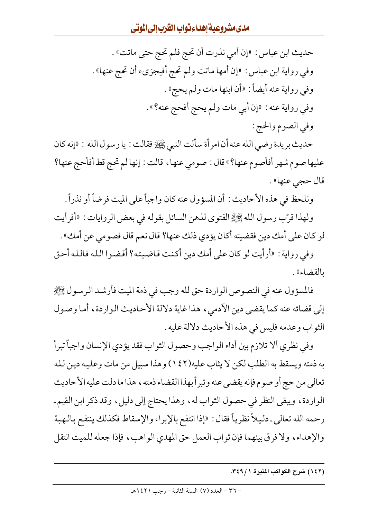حديث ابن عباس : «إن أمي نذرت أن تحج فلم تحج حتى ماتت» . وفي رواية ابن عباس : «إن أمها ماتت ولم تحج أفيجزيء أن تحج عنها» . وفي رواية عنه أيضاً: «أن ابنها مات ولم يحج». وفي رواية عنه : «إن أبي مات ولم يحج أفحج عنه؟» . وفي الصوم والحج :

حديث بريدة رضي الله عنه أن امرأة سألت النبي ﷺ فقالت : يا رسول الله : «إنه كان عليها صوم شهر أفأصوم عنها؟» قال : صومي عنها، قالت : إنها لم تحج قط أفأحج عنها؟ قال حجي عنها» .

ونلحظ في هذه الأحاديث : أن المسؤول عنه كان واجباً على الميت فرضاً أو نذراً .

ولهذا قرّب رسول الله ﷺ الفتوى لذهن السائل بقوله في بعض الروايات : «أفرأيت لو كان على أمك دين فقضيته أكان يؤدي ذلك عنها؟ قال نعم قال فصومي عن أمك» .

وفي رواية : «أرأيت لو كان على أمك دين أكنت قاضيته؟ أقضوا الله فالله أحق ىالقضاء».

فالمسؤول عنه في النصوص الواردة حق لله وجب في ذمة الميت فأرشد الرسول ﷺ إلى قضائه عنه كما يقضي دين الآدمي، هذا غاية دلالة الأحاديث الواردة، أما وصول الثواب وعدمه فليس في هذه الأحاديث دلالة عليه .

وفي نظري ألا تلازم بين أداء الواجب وحصول الثواب فقد يؤدي الإنسان واجباً تبرأ به ذمته ويسقط به الطلب لكن لا يثاب عليه(١٤٢) وهذا سبيل من مات وعليه دين لله تعالى من حج أو صوم فإنه يقضي عنه وتبرأ بهذا القضاء ذمته ، هذا ما دلت عليه الأحاديث الواردة، ويبقى النظر في حصول الثواب له، وهذا يحتاج إلى دليل، وقد ذكر ابن القيم ـ رحمه الله تعالى ـ دليلاً نظرياً فقال : «إذا انتفع بالإبراء والإسقاط فكذلك ينتفع بالهبة والإهداء، ولا فرق بينهما فإن ثواب العمل حق المهدى الواهب، فإذا جعله للميت انتقل

<sup>(</sup>١٤٢) شرح الكواكب المنيرة ٣٤٩/١.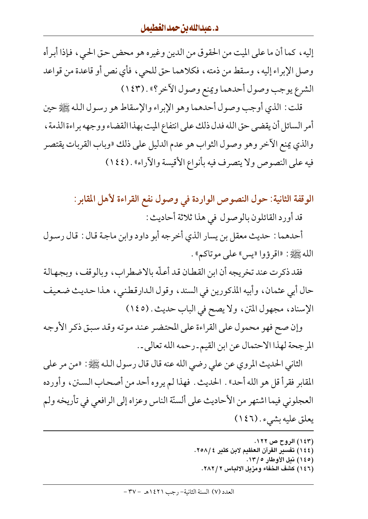إليه ، كما أن ما على الميت من الحقوق من الدين وغيره هو محض حق الحي ، فإذا أبرأه وصل الإبراء إليه، وسقط من ذمته، فكلاهما حق للحي، فأي نص أو قاعدة من قواعد الشرع يوجب وصول أحدهما ويمنع وصول الأخر؟» . (١٤٣)

قلت : الذي أوجب وصول أحدهما وهو الإبراء والإسقاط هو رسول الله ﷺ حين أمر السائل أن يقضي حق الله فدل ذلك على انتفاع الميت بهذا القضاء ووجهه براءة الذمة ، والذي يمنع الآخر وهو وصول الثواب هو عدم الدليل على ذلك «وباب القربات يقتصر فيه على النصوص ولا يتصرف فيه بأنواع الأقيسة والأراء» . (١٤٤)

الوقفة الثانية: حول النصوص الواردة في وصول نفع القراءة لأهل المقابر :

قد أورد القائلون بالوصول في هذا ثلاثة أحاديث :

أحدهما : حديث معقل بن يسار الذي أخرجه أبو داود وابن ماجة قال : قال رسول الله ﷺ: «اقرؤوا «يس» على موتاكم» .

فقد ذكرت عند تخريجه أن ابن القطان قد أعلّه بالاضطراب، وبالوقف، وبجهالة حال أبي عثمان، وأبيه المذكورين في السند، وقول الدارقطني، هذا حديث ضعيف الإسناد، مجهول المتن، ولا يصح في الباب حديث . (١٤٥)

وإن صح فهو محمول على القراءة على المحتضر عند موته وقد سبق ذكر الأوجه المرجحة لهذا الاحتمال عن ابن القيم ـ رحمه الله تعالى ـ.

الثاني الحديث المروي عن على رضي الله عنه قال قال رسول الله ﷺ: «من مر على المقابر فقرأ قل هو الله أحد» . الحديث . فهذا لم يروه أحد من أصحاب السنن، وأورده العجلوني فيما اشتهر من الأحاديث على ألسنّة الناس وعزاه إلى الرافعي في تأريخه ولم يعلق عليه بشيء . (١٤٦)

> (۱٤۳) الروح ص ۱۲۲. (١٤٤) تفسير القرآن العظيم لابن كثير ٢٥٨/٤. (١٤٥) نيل الأوطار ١٣/٥. (١٤٦) كشف الخفاء ومزيل الالباس ٢٨٢/٢.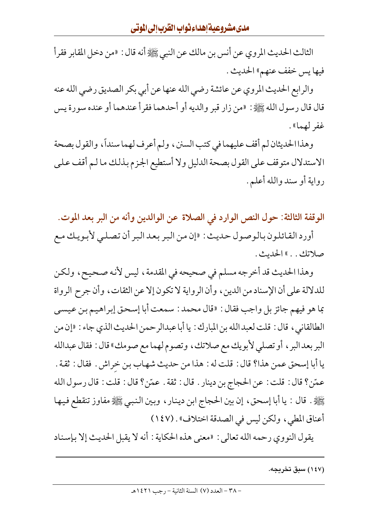الثالث الحديث المروي عن أنس بن مالك عن النبي ﷺ أنه قال : «من دخل المقابر فقرأ فيها يس خفف عنهم» الحديث .

والرابع الحديث المروي عن عائشة رضي الله عنها عن أبي بكر الصديق رضي الله عنه قال قال رسول الله ﷺ : «من زار قبر والديه أو أحدهما فقرأ عندهما أو عنده سورة يس غفر لهما».

وهذا الحديثان لم أقف عليهما في كتب السنن ، ولم أعرف لهما سنداً، والقول بصحة الاستدلال متوقف على القول بصحة الدليل ولا أستطيع الجزم بذلك ما لم أقف على رواية أو سند والله أعلم .

الوقفة الثالثة: حول النص الوارد في الصلاة عن الوالدين وأنه من البر بعد الموت.

أورد القائلون بالوصول حديث : «إن من البر بعد البر أن تصلبي لأبويك مع صلاتك. . » الحديث.

وهذا الحديث قد أخرجه مسلم في صحيحه في المقدمة، ليس لأنه صحيح، ولكن للدلالة على أن الإسناد من الدين ، وأن الرواية لا تكون إلا عن الثقات، وأن جرح الرواة بما هو فيهم جائز بل واجب فقال : «قال محمد : سمعت أبا إسحق إبراهيم بن عيسى الطالقاني ، قال : قلت لعبد الله بن المبارك : يا أبا عبدالرحمن الحديث الذي جاء : «إن من البر بعد البر ، أو تصلي لأبويك مع صلاتك ، وتصوم لهما مع صومك» قال : فقال عبدالله يا أبا إسحق عمن هذا؟ قال : قلت له : هذا من حديث شهاب بن خراش . فقال : ثقة . عمّن؟ قال : قلت : عن الحجاج بن دينار . قال : ثقة . عمّن؟ قال : قلت : قال رسول الله يَّيَّالِيُّهِ . قال : يا أبا إسحق، إن بين الحجاج ابن دينار ، وبين النبيي ﷺ مفاوز تنقطع فيها أعناق المطي، ولكن ليس في الصدقة اختلاف» . (١٤٧)

يقول النووي رحمه الله تعالى : «معنى هذه الحكاية : أنه لا يقبل الحديث إلا بإسناد

(۱٤۷) سبق تخریجه.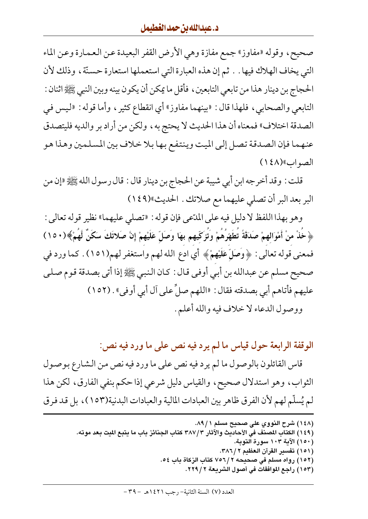صحيح، وقوله «مفاوز» جمع مفازة وهي الأرض القفر البعيدة عن العمارة وعن الماء التي يخاف الهلاك فيها . . ثم إن هذه العبارة التي استعملها استعارة حسنّة ، وذلك لأن الحجاج بن دينار هذا من تابعي التابعين ، فأقل ما يمكن أن يكون بينه وبين النبي ﷺ اثنان : التابعي والصحابي، فلهذا قال : «بينهما مفاوز» أي انقطاع كثير ، وأما قوله : «ليس في الصدقة اختلاف» فمعناه أن هذا الحديث لا يحتج به ، ولكن من أراد بر والديه فليتصدق عنهما فإن الصدقة تصل إلى الميت وينتفع بها بلا خلاف بين المسلمين وهذا هو الصواب (١٤٨)

قلت : وقد أخرجه ابن أبي شيبة عن الحجاج بن دينار قال : قال رسول الله ﷺ «إن من البر بعد البر أن تصلى عليهما مع صلاتك . الحديث»(١٤٩)

وهو بهذا اللفظ لا دليل فيه على المدّعي فإن قوله : «تصلَّى عليهما» نظير قوله تعالى : ﴿ خُذْ منْ أَمْوَالِهِمْ صَدَقَةً تُطَهَّرُهُمْ وَتُزَكِّيهِم بهَا وَصَلِّ عَلَيْهِمْ إِنَّ صَلاتَكَ سَكَنٌ لَّهُمْ﴾(١٥٠) فمعنى قوله تعالى : ﴿وَصَلَّ عَلَيْهِمْ﴾ أي ادع الله لهم واستغفر لهم(١٥١) . كما ورد في صحيح مسلم عن عبدالله بن أبي أوفي قال : كان النبي ﷺ إذا أتى بصدقة قوم صلى عليهم فأتاهم أبي بصدقته فقال : «اللهم صلٌّ على آل أبي أوفي» . (١٥٢) ووصول الدعاء لا خلاف فيه والله أعلم .

الوقفة الرابعة حول قياس ما لم يرد فيه نص على ما ورد فيه نص:

قاس القائلون بالوصول ما لم يرد فيه نص على ما ورد فيه نص من الشارع بوصول الثواب، وهو استدلال صحيح، والقياس دليل شرعي إذا حكم بنفي الفارق، لكن هذا لم يُسلَّم لهم لأن الفرق ظاهر بين العبادات المالية والعبادات البدنية(١٥٣)، بل قد فرق

مد موته.

| ١٤٨) شرح النووي على صحيح مسلم ٩/١٨١.                                           |
|--------------------------------------------------------------------------------|
| ١٤٩) الكتاب المصنف في الأحاديث والآثار ٣٨٧/٣ كتاب الجنائز باب ما يتبع الميت بـ |
| ١٥٠) الآية ١٠٣ سورة التوبة.                                                    |
| ١٥١) تفسير القرآن العظيم ٢ / ٣٨٦.                                              |
| ١٥٢) , واه مسلم في صحيحه ٢ /٧٥٦ كتاب الزكاة ياب ٥٤.                            |

(١٥٣) راجع الموافقات في أصول الشريعة ٢٢٩/٢.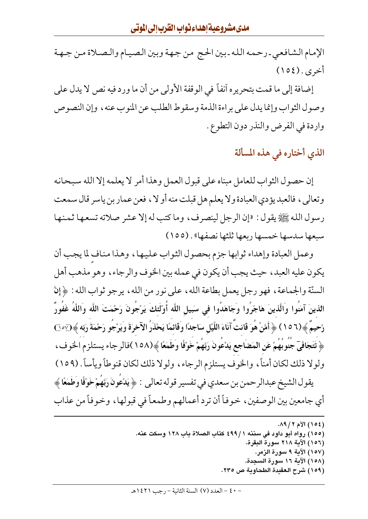الإمام الشافعي ـ رحمه الله ـ بين الحج من جهة وبين الصيام والصلاة مـن جـهـة أخرى . (١٥٤)

إضافة إلى ما قمت بتحريره أنفاً في الوقفة الأولى من أن ما ورد فيه نص لا يدل على وصول الثواب وإنما يدل على براءة الذمة وسقوط الطلب عن المنوب عنه ، وإن النصوص واردة في الفرض والنذر دون التطوع .

الذي أختاره في هذه المسألة

إن حصول الثواب للعامل مبناه على قبول العمل وهذا أمر لا يعلمه إلا الله سبحانه وتعالى، فالعبديؤدي العبادة ولا يعلم هل قبلت منه أو لا ، فعن عمار بن ياسر قال سمعت رسول الله ﷺ يقول : «إن الرجل لينصرف، وما كتب له إلا عشر صلاته تسعها ثمنها سبعها سدسها خمسها ربعها ثلثها نصفها» . (١٥٥)

وعمل العبادة وإهداء ثوابها جزم بحصول الثواب عليها، وهذا مناف لما يجب أن يكون عليه العبد، حيث يجب أن يكون في عمله بين الخوف والرجاء، وهو مذهب أهل السنَّة والجماعة ، فهو رجل يعمل بطاعة الله ، على نور من الله ، يرجو ثواب الله : ﴿ إِنَّ الذينَ آمَنُوا وَالَّذينَ هَاجَرُوا وَجَاهَدُوا في سَبيل اللَّه أَوْلَئكَ يَرْجُونَ رَحْمَتَ اللَّه وَاللَّهُ غَفُورٌ رَّحِيمٌ ﴾(١٥٦) ﴿ أَمَّنْ هُوَ قَانتَ آنَاءَ اللَّيْلِ سَاجِدًا وقَائِمًا يَحْذَرُ الآخرَةَ وَيَرْجُو رَحْمَةَ رَبّه ﴾ $\bigcirc$ ٥٦٠ ﴿ تَتَجَافَيٓ جُنُوبُهُمْ عَنِ الْمَضَاجِعِ يَدْعُونَ رَبَّهُمْ خَوْفًا وَطَمَعًا ﴾(١٥٨)فالرجاء يستلزم الخوف، ولولا ذلك لكان أمناً، والخوف يستلزم الرجاء، ولولا ذلك لكان قنوطاً ويأساً. (١٥٩)

يقول الشيخ عبدالرحمن بن سعدي في تفسير قوله تعالى : ﴿ يَدْعُونَ رَبَّهُمْ خَوْفًا وَطَمَعًا ﴾ أي جامعين بين الوصفين ، خوفاً أن ترد أعمالهم وطمعاً في قبولها ، وخوفاً من عذاب

- (١٥٥) رواه أبو داود في سننه ٤٩٩/١ كتاب الصلاة باب ١٢٨ وسكت عنه.
	- (١٥٦) الآية ٢١٨ سورة البقرة.
	- (١٥٧) الآية ٩ سورة الزمر. (١٥٨) الآية ١٦ سورة السجدة.
	- (١٥٩) شرح العقيدة الطحاوية ص ٢٣٥.

<sup>(</sup>١٥٤) الأم ١٩/٢.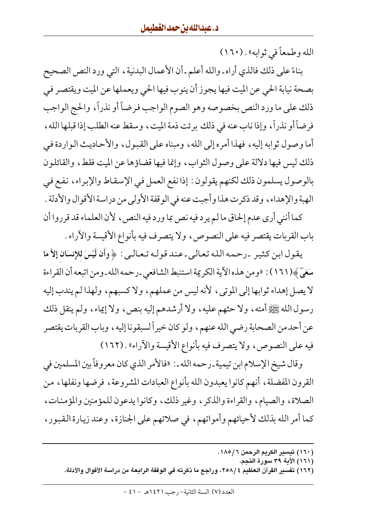الله وطمعاً في ثوابه» . (١٦٠)

بناءً على ذلك فالذي أراه ـ والله أعلم ـ أن الأعمال البدنية ، التي ورد النص الصحيح بصحة نيابة الحي عن الميت فيها يجوز أن ينوب فيها الحي ويعملها عن الميت ويقتصر في ذلك على ما ورد النص بخصوصه وهو الصوم الواجب فرضاً أو نذراً، والحج الواجب فرضاً أو نذراً، وإذا نابٍ عنه في ذلك برئت ذمة الميت، وسقط عنه الطلب إذا قبلها الله، أما وصول ثوابه إليه، فهذا أمره إلى الله، ومبناه على القبول، والأحاديث الواردة في ذلك ليس فيها دلالة على وصول الثواب، وإنما فيها قضاؤها عن الميت فقط، والقائلون بالوصول يسلمون ذلك لكنهم يقولون : إذا نفع العمل في الإسقاط والإبراء، نفع في الهبة والإهداء، وقد ذكرت هذا وأجبت عنه في الوقفة الأولى من دراسة الأقوال والأدلة . كما أنني أرى عدم إلحاق ما لم يرد فيه نص بما ورد فيه النص ، لأن العلماء قد قرروا أن

باب القربات يقتصر فيه على النصوص، ولا يتصرف فيه بأنواع الأقيسة والأراء .

يقول ابن كثير -رحمه الله تعالى ـ عند قولـه تـعـالـي : ﴿ وَأَن لَّيْسَ للإنسَانِ إِلاَّ مَا سَعَيَّ ﴾(١٦١) : «ومن هذه الآية الكريمة استنبط الشافعي ـ رحمه الله ـ ومن اتبعه أن القراءة لا يصل إهداء ثوابها إلى الموتى، لأنه ليس من عملهم، ولا كسبهم، ولهذا لم يندب إليه رسول الله ﷺ أمته ، ولا حثهم عليه ، ولا أرشدهم إليه بنص، ولا إيماء ، ولم ينقل ذلك عن أحد من الصحابة رضي الله عنهم، ولو كان خيراً لسبقونا إليه ، وباب القربات يقتصر فيه على النصوص، ولا يتصرف فيه بأنواع الأقيسة والأراء» . (١٦٢)

وقال شيخ الإسلام ابن تيمية ـ رحمه الله ـ : «فالأمر الذي كان معروفاً بين المسلمين في القرون المفضلة، أنهم كانوا يعبدون الله بأنواع العبادات المشروعة، فرضها ونفلها، من الصلاة، والصيام، والقراءة والذكر ، وغير ذلك، وكانوا يدعون للمؤمنين والمؤمنات، كما أمر الله بذلك لأحيائهم وأمواتهم، في صلاتهم على الجنازة، وعند زيارة القبور،

- (١٦٠) تيسير الكريم الرحمن ١٨٥/٦.
	- (١٦١) الآية ٣٩ سورة النجم.
- (١٦٢) تفسير القرآن العظيم ٢٥٨/٤، وراجع ما ذكرته في الوقفة الرابعة من دراسة الأقوال والأدلة.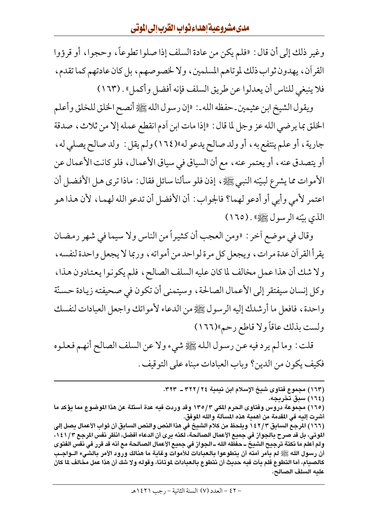وغير ذلك إلى أن قال : «فلم يكن من عادة السلف إذا صلوا تطوعاً، وحجوا، أو قرؤوا القرآن، يهدون ثواب ذلك لموتاهم المسلمين، ولا لخصوصهم، بل كان عادتهم كما تقدم، فلا ينبغي للناس أن يعدلوا عن طريق السلف فإنه أفضل وأكمل» . (١٦٣)

ويقول الشيخ ابن عثيمين\_حفظه الله\_: «إن رسول الله ﷺ أنصح الخلق للخلق وأعلم الخلق بما يرضي الله عز وجل لما قال : «إذا مات ابن أدم انقطع عمله إلا من ثلاث، صدقة جارية ، أو علم ينتفع به ، أو ولد صالح يدعو له»(١٦٤) ولم يقل : ولد صالح يصلى له ، أو يتصدق عنه ، أو يعتمر عنه ، مع أن السياق في سياق الأعمال ، فلو كانت الأعمال عن الأموات مما يشرع لبيّنه النبي ﷺ، إذن فلو سألنا سائل فقال : ماذا ترى هل الأفضل أن اعتمر لأمي وأبي أو أدعو لهما؟ فالجواب: أن الأفضل أن تدعو الله لهما، لأن هذا هو الذي بيّنه الرسول ﷺ) . (١٦٥)

وقال في موضع أخر : «ومن العجب أن كثيراً من الناس ولا سيما في شهر رمضان يقرأ القرأن عدة مرات، ويجعل كل مرة لواحد من أمواته، وربما لا يجعل واحدة لنفسه، ولا شك أن هذا عمل مخالف لما كان عليه السلف الصالح، فلم يكونوا يعتادون هذا، وكل إنسان سيفتقر إلى الأعمال الصالحة ، وسيتمنى أن تكون في صحيفته زيادة حسنّة واحدة، فافعل ما أرشدك إليه الرسول ﷺ من الدعاء لأمواتك واجعل العبادات لنفسك ولست بذلك عاقاً ولا قاطع رحم»(١٦٦)

قلت : وما لم يرد فيه عن رسول الله ﷺ شيء ولا عن السلف الصالح أنهم فعلوه فكيف يكون من الدين؟ وباب العبادات مبناه على التوقيف .

> (١٦٣) مجموع فتاوى شيخ الإسلام ابن تيمية ٢٢٢/٢٤ ـ ٣٢٣. (١٦٤) سبق تخريجه.

(١٦٥) مجموعة دروس وفتاوى الحرم المكي ٣/ ١٣٥ وقد وردت فيه عدة أسئلة عن هذا الموضوع مما يؤكد ما أشرت إليه في المقدمة من أهمية هذه المسألة والله الموفق.

(١٦٦) المرجع السابق ١٤٢/٣ ويلحظ من كلام الشيخ في هذا النص والنص السابق أن ثواب الأعمال يصل إلى الموتي، بل قد صرح بالجواز في جميع الأعمال الصالحة، لكنه يرى أن الدعاء أفضل، انظر نفس المرجع ١٤١/٣، ولم أعلم ما نكتة ترجيح الشيخُ ــ حفظه الله ــ الجواز في جميع الأعمال الصالحة مع أنه قد قرر في نفس الفتوى أن رسول الله ﷺ لم يأمر أمته أن يتطوعوا بالعبادات للأموات وغاية ما هنالك ورود الأمر بالشيء الــواجــب كالصبام، أما التطوع فلم يأت فيه حديث أن نتطوع بالعبادات لموتانا، وقوله ولا شك أن هذا عمل مخالف لما كان عليه السلف الصالح.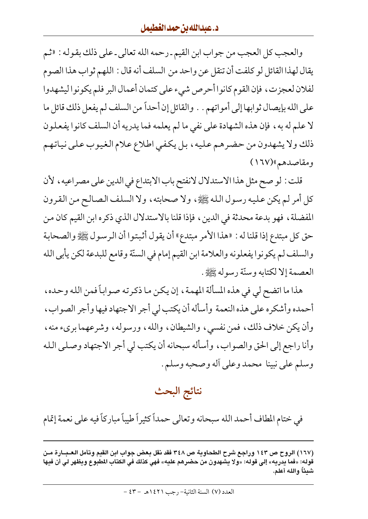والعجب كل العجب من جواب ابن القيم ـ رحمه الله تعالى ـ على ذلك بقوله : «ثم يقال لهذا القائل لو كلفت أن تنقل عن واحد من السلف أنه قال : اللهم ثواب هذا الصوم لفلان لعجزت، فإن القوم كانوا أحرص شيء على كتمان أعمال البر فلم يكونوا ليشهدوا على الله بإيصال ثوابها إلى أمواتهم . . والقائل إن أحداً من السلف لم يفعل ذلك قائل ما لا علم له به، فإن هذه الشهادة على نفي ما لم يعلمه فما يدريه أن السلف كانوا يفعلون ذلك ولا يشهدون من حضرهم عليه، بل يكفي اطلاع علام الغيوب على نياتهم ومقاصدهم»(۱٦۷)

قلت : لو صح مثل هذا الاستدلال لانفتح باب الابتداع في الدين على مصراعيه ، لأن كل أمر لم يكن عليه رسول الله ﷺ، ولا صحابته، ولا السلف الصالح من القرون المفضلة ، فهو بدعة محدثة في الدين ، فإذا قلنا بالاستدلال الذي ذكره ابن القيم كان من حق كل مبتدع إذا قلنا له : «هذا الأمر مبتدع» أن يقول أثبتوا أن الرسول ﷺ والصحابة والسلف لم يكونوا يفعلونه والعلامة ابن القيم إمام في السنّة وقامع للبدعة لكن يأبي الله العصمة إلا لكتابه وسنّة رسوله ﷺ.

هذا ما اتضح لي في هذه المسألة المهمة ، إن يكن ما ذكرته صواباً فمن الله وحده ، أحمده وأشكره على هذه النعمة وأسأله أن يكتب لي أجر الاجتهاد فيها وأجر الصواب، وأن يكن خلاف ذلك، فمن نفسي، والشيطان، والله، ورسوله، وشرعهما بريء منه، وأنا راجع إلى الحق والصواب، وأسأله سبحانه أن يكتب لي أجر الاجتهاد وصلبي الله وسلم على نبينا محمد وعلى أله وصحبه وسلم.

# نتائج البحث

في ختام المطاف أحمد الله سبحانه وتعالى حمداً كثيراً طيباً مباركاً فيه على نعمة إتمام

<sup>(</sup>١٦٧) الروح ص ١٤٣ وراجع شرح الطحاوية ص ٣٤٨ فقد نقل بعض جواب ابن القيم وتأمل العـبــارة مـن قوله: «فما يدريه» إلى قوله: «ولا يشهدون من حضرهم عليه» فهي كذلك في الكتاب المطبوع ويظهر لي أن فيها شيئاً والله أعلم.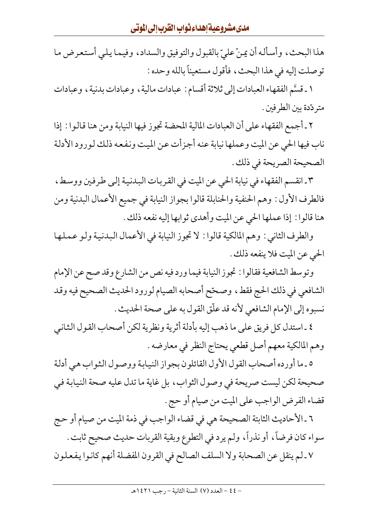هذا البحث، وأسأله أن يمنّ عليّ بالقبول والتوفيق والسداد، وفيما يلي أستعرض ما توصلت إليه في هذا البحث، فأقول مستعيناً بالله وحده :

١ ـ قسَّم الفقهاء العبادات إلى ثلاثة أقسام : عبادات مالية ، وعبادات بدنية ، وعبادات متر دّدة بين الطر فين .

٢ ـ أجمع الفقهاء على أن العبادات المالية المحضة تجوز فيها النيابة ومن هنا قالوا : إذا ناب فيها الحي عن الميت وعملها نيابة عنه أجزأت عن الميت ونفعه ذلك لورود الأدلة الصحيحة الصريحة في ذلك .

٣ ـ انقسم الفقهاء في نيابة الحي عن الميت في القربات البدنية إلى طرفين ووسط، فالطرف الأول : وهم الحنفية والحنابلة قالوا بجواز النيابة في جميع الأعمال البدنية ومن هنا قالوا : إذا عملها الحي عن الميت وأهدى ثوابها إليه نفعه ذلك .

والطرف الثاني : وهم المالكية قالوا : لا تجوز النيابة في الأعمال البدنية ولو عملها الحي عن الميت فلا ينفعه ذلك .

وتوسط الشافعية فقالوا : تجوز النيابة فيما ورد فيه نص من الشارع وقد صح عن الإمام الشافعي في ذلك الحج فقط، وصحّح أصحابه الصيام لورود الحديث الصحيح فيه وقد نسبوه إلى الإمام الشافعي لأنه قد علَّق القول به على صحة الحديث .

٤ ـ استدل كل فريق على ما ذهب إليه بأدلة أثرية ونظرية لكن أصحاب القول الثاني وهم المالكية معهم أصل قطعي يحتاج النظر في معارضه .

٥ ـ ما أورده أصحاب القول الأول القائلون بجواز النيابة ووصول الثواب هي أدلة صحيحة لكن ليست صريحة في وصول الثواب، بل غاية ما تدل عليه صحة النيابة في قضاء الفرض الواجب على الميت من صيام أو حج .

٦ ـ الأحاديث الثابتة الصحيحة هي في قضاء الواجب في ذمة الميت من صيام أو حج سواء كان فرضاً، أو نذراً، ولم يرد في التطوع وبقية القربات حديث صحيح ثابت . ٧ ـ لم ينقل عن الصحابة ولا السلف الصالح في القرون المفضلة أنهم كانوا يفعلون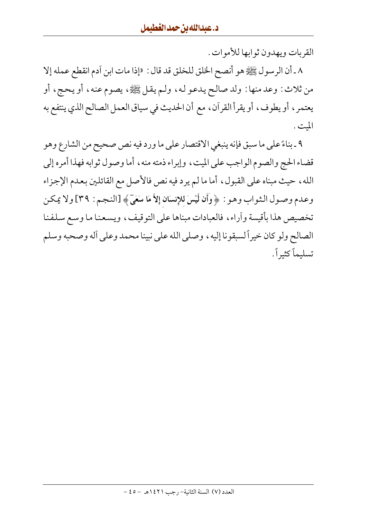القربات ويهدون ثوابها للأموات .

٨ ـ أن الرسول ﷺ هو أنصح الخلق للخلق قد قال : «إذا مات ابن آدم انقطع عمله إلا من ثلاث: وعد منها: ولد صالح يدعو له، ولم يقل ﷺ، يصوم عنه، أو يحج، أو يعتمر ، أو يطوف ، أو يقرأ القرآن ، مع أن الحديث في سياق العمل الصالح الذي ينتفع به الميت .

٩ ـ بناءً على ما سبق فإنه ينبغي الاقتصار على ما ورد فيه نص صحيح من الشارع وهو قضاء الحج والصوم الواجب على الميت، وإبراء ذمته منه، أما وصول ثوابه فهذا أمره إلى الله، حيث مبناه على القبول، أما ما لم يرد فيه نص فالأصل مع القائلين بعدم الإجزاء وعـدم وصـول الـثـواب وهـو : ﴿ وَأَن لَّيْسَ للإنسَانِ إِلاَّ مَا سَعَىٓ﴾ [النـجـم : ٣٩] ولا يمكـن تخصيص هذا بأقيسة وأراء، فالعبادات مبناها على التوقيف، ويسعنا ما وسع سلفنا الصالح ولو كان خيراً لسبقونا إليه ، وصلى الله على نبينا محمد وعلى أله وصحبه وسلم تسليماً كثيراً.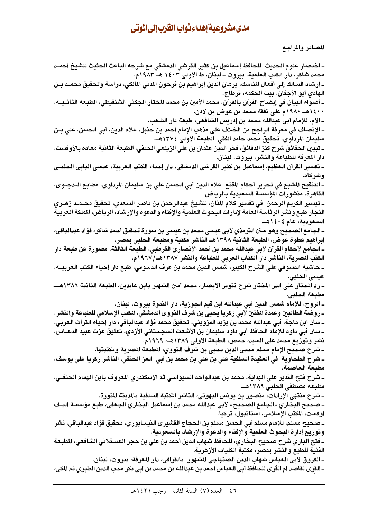المصادر والمراجع

ــ اختصار علوم الـحديث، للـحافظ إسماعيل بن كثير القرشي الدمشقي مع شرحه الباعث الـحثيث للشيخ أحمـد محمد شاكر، دار الكتب العلمية، بيروت ــ لبنان، ط الأولى ١٤٠٣ هــ ١٩٨٣م. ـ إرشاد السالك إلى أفعال المناسك، برهان الدين إبراهيم بن فرحون المدنى المالكي، دراسة وتحقيق محمـد بـن الهادي أبو الأجفان، بيت الحكمة، قرطاج. ـ أضواء البيان في إيضاح القرآن بالقرآن، محمد الأمين بن محمد المختار الجكني الشنقيطي، الطبعة الثانــيــة، ١٤٠٠هــ ١٩٨٠م على نفقة محمد بن عوض بن لادن. ــ الأم، للإمام أبي عبدالله محمد بن إدريس الشافعي، طبعة دار الشعب. ــ الإنصاف في معرفة الراجح من الخلاف على مذهب الإمام أحمد بن حنبل، علاء الدين، أبي الحسن، على بــن سليمان المرداوي، تحقيق محمد حامد الفقي، الطبعة الأولى ١٣٧٤هـ. ــ تبيين الـحقائق شرح كنز الدقائق، فخر الدين عثمان بن على الزيلـعي الـحنفي، الطبـعة الثانية مـعادة بـالأوفست، دار المعرفة للطباعة والنشر، بيروت، لبنان. ـ تفسير القرآن العظيم، إسماعيل بن كثير القرشي الدمشقي، دار إحياء الكتب العربية، عيسى البابي الحلبـي وشركاه. ـ التنقيح المشبع في تحرير أحكام المقنع، علاء الدين أبي الحسن علي بن سليمان المرداوي، مطابع الــدجــوي، القاهرة، منشورات المؤسسة السعيدية بالرياض. ــ تيسير الكريم الرحمن في تفسير كلام المنان، للشيخ عبدالرحمن بن ناصر السعدي، تحقيق محــمــد زهــري النجار طبع ونشر الرئاسة العامة لإدارات البحوث العلمية والإفتاء والدعوة والإرشاد، الرياض، الملكة العربية السعودية، عام ١٤٠٤هـ. ـ الجامع الصحيح وهو سنن الترمذي لأبي عيسى محمد بن عيسى بن سورة تحقيق أحمد شاكر، فؤاد عبدالباقي، إبراهيم عطوة عوض، الطبعة الثانية ١٣٩٨هــ الناشر مكتبة ومطبعة الحلبي بمصر. ـ الجامع لأحكام القرآن لأبي عبدالله محمد بن أحمد الأنصاري القرطبي، الطبعة الثالثة، مصورة عن طبعة دار الكتب المصرية، الناشر دار الكتاب العربي للطباعة والنشر ١٣٨٧هـ/١٩٦٧م. ـ حاشية الدسوقي على الشرح الكبير، شمس الدين محمد بن عرف الدسوقي، طبع دار إحياء الكتب العربيــة، عيسى الحلبي. مطبعة الحلبى. ـ الروح، للإمام شمس الدين أبي عبدالله ابن قيم الجوزية، دار الندوة بيروت، لبنان. \_روضة الطالبين وعمدة المفتين لأبي زكريا يحيى بن شرف النووي الدمشقي، المكتب الإسلامي للطباعة والنشر. ـــ سنن ابن ماجة، أبي عبدالله محمد بن يزيد القزويني، تحقيق محمد فؤاد عبدالباقي، دار إحياء التراث العربي. ــ سنن أبي داود للإمام الحافظ أبي داود سليمان بن الأشعث السجستاني الأزدي، تعليق عزت عبيد الدعـــاس، نشر وتوزيع محمد على السيد، حمص، الطبعة الأولى ١٣٨٩هـ، ١٩٦٩م. ــ شرح صحيح الإمام مسلم محيى الدين يحيى بن شرف النووي، المطبعة المصرية ومكتبتها. ــ شرح الطحاوية في العقيدة السلفية علي بن علي بن محمد بن أبي العز الحنفي، الناشر زكريا علي يوسف، مطنعة العاصمة. ــ شرح فتح القدير على الهداية، محمد بن عبدالواحد السيواسي ثم الإسكندري المعروف بابن الهمام الحنفــي، مطبعة مصطفى الحلبي ١٣٨٩هـ.. ـ شرح منتهى الإرادات، منصور بن يونس البهوتي، الناشر المكتبة السلفية بالمدينة المنورة. ــ صحيح البخاري «الجامع الصحيح» لأبي عبدالله محمد بن إسماعيل البخاري الجعفي، طبع مؤسسة أليــف أوفست، المكتب الإسلامي، استانبول، تركيا. ــ صحيح مسلم، للإمام مسلم أبي الحسن مسلم بن الحجاج القشيري النيسابوري، تحقيق فؤاد عبدالباقي، نشر وتوزيع إدارة البحوث العلمية والإفتاء والدعوة والإرشاد بالسعودية. ــ فتح الباري شرح صحيح البخاري، للحافظ شهاب الدين أحمد بن علي بن حجر العسقلاني الشافعي، المطبعة الفنية للطبع والنشر بمصر، مكتبة الكليات الأزهرية. ـ الفروق لأبي الـعباس شهاب الدين الصنهاجي المشهور بـالقرافي، دار المعرفة، بيروت، لبنان. ـ القرى لقاصد أم الڤرى للحافظ أبى الـعباس أحمد بن عبدالله بن محمد بن أبى بكر محب الدين الطبري ثم المكى،